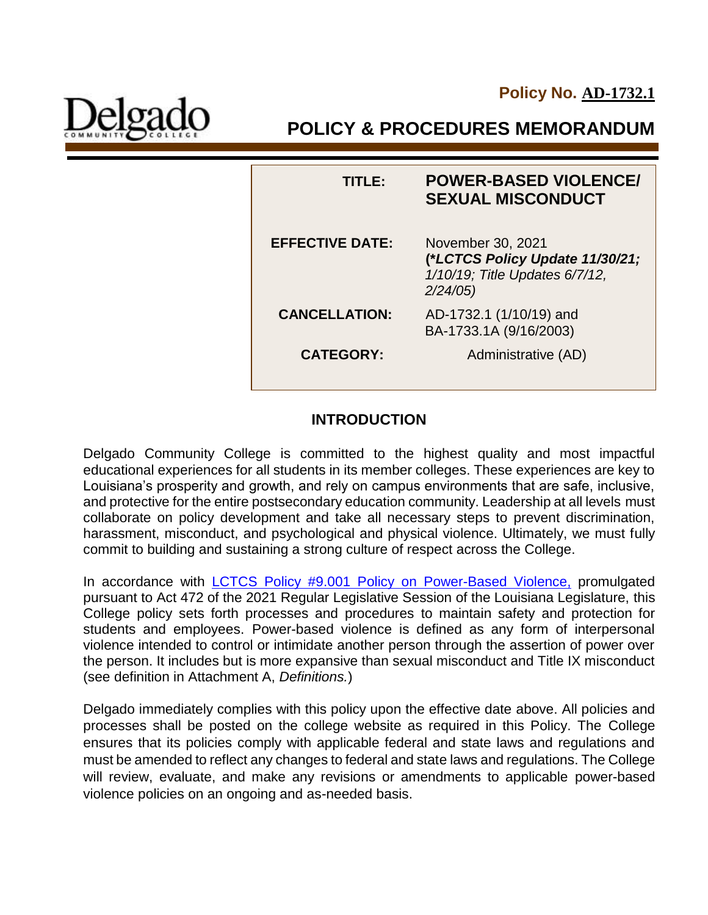**Policy No. AD-1732.1**



**POLICY & PROCEDURES MEMORANDUM**

| TITI E:                | <b>POWER-BASED VIOLENCE/</b><br><b>SEXUAL MISCONDUCT</b>                                          |
|------------------------|---------------------------------------------------------------------------------------------------|
| <b>EFFECTIVE DATE:</b> | November 30, 2021<br>(*LCTCS Policy Update 11/30/21;<br>1/10/19; Title Updates 6/7/12,<br>2/24/05 |
| <b>CANCELLATION:</b>   | AD-1732.1 (1/10/19) and<br>BA-1733.1A (9/16/2003)                                                 |
| <b>CATEGORY:</b>       | Administrative (AD)                                                                               |

# **INTRODUCTION**

Delgado Community College is committed to the highest quality and most impactful educational experiences for all students in its member colleges. These experiences are key to Louisiana's prosperity and growth, and rely on campus environments that are safe, inclusive, and protective for the entire postsecondary education community. Leadership at all levels must collaborate on policy development and take all necessary steps to prevent discrimination, harassment, misconduct, and psychological and physical violence. Ultimately, we must fully commit to building and sustaining a strong culture of respect across the College.

In accordance with [LCTCS Policy #9.001 Policy on Power-Based Violence,](https://campussuite-storage.s3.amazonaws.com/prod/1558543/91b64910-2d2e-11e8-8c09-0a7155647e8a/2332545/120ee03a-31cd-11ec-bca0-02b4ec425fd5/file/9.001%20LCTCS%20POLICY%20ON%20POWER-BASED%20VIOLENCE%2010.20.21.pdf) promulgated pursuant to Act 472 of the 2021 Regular Legislative Session of the Louisiana Legislature, this College policy sets forth processes and procedures to maintain safety and protection for students and employees. Power-based violence is defined as any form of interpersonal violence intended to control or intimidate another person through the assertion of power over the person. It includes but is more expansive than sexual misconduct and Title IX misconduct (see definition in Attachment A, *Definitions.*)

Delgado immediately complies with this policy upon the effective date above. All policies and processes shall be posted on the college website as required in this Policy. The College ensures that its policies comply with applicable federal and state laws and regulations and must be amended to reflect any changes to federal and state laws and regulations. The College will review, evaluate, and make any revisions or amendments to applicable power-based violence policies on an ongoing and as-needed basis.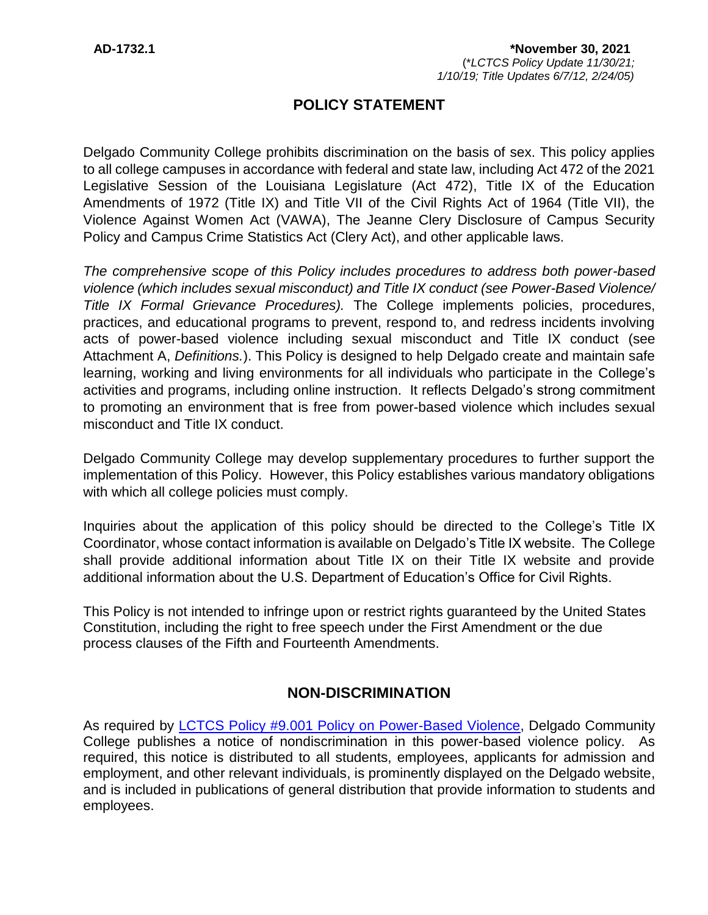# **POLICY STATEMENT**

Delgado Community College prohibits discrimination on the basis of sex. This policy applies to all college campuses in accordance with federal and state law, including Act 472 of the 2021 Legislative Session of the Louisiana Legislature (Act 472), Title IX of the Education Amendments of 1972 (Title IX) and Title VII of the Civil Rights Act of 1964 (Title VII), the Violence Against Women Act (VAWA), The Jeanne Clery Disclosure of Campus Security Policy and Campus Crime Statistics Act (Clery Act), and other applicable laws.

*The comprehensive scope of this Policy includes procedures to address both power-based violence (which includes sexual misconduct) and Title IX conduct (see Power-Based Violence/ Title IX Formal Grievance Procedures).* The College implements policies, procedures, practices, and educational programs to prevent, respond to, and redress incidents involving acts of power-based violence including sexual misconduct and Title IX conduct (see Attachment A, *Definitions.*). This Policy is designed to help Delgado create and maintain safe learning, working and living environments for all individuals who participate in the College's activities and programs, including online instruction. It reflects Delgado's strong commitment to promoting an environment that is free from power-based violence which includes sexual misconduct and Title IX conduct.

Delgado Community College may develop supplementary procedures to further support the implementation of this Policy. However, this Policy establishes various mandatory obligations with which all college policies must comply.

Inquiries about the application of this policy should be directed to the College's Title IX Coordinator, whose contact information is available on Delgado's Title IX website. The College shall provide additional information about Title IX on their Title IX website and provide additional information about the U.S. Department of Education's Office for Civil Rights.

This Policy is not intended to infringe upon or restrict rights guaranteed by the United States Constitution, including the right to free speech under the First Amendment or the due process clauses of the Fifth and Fourteenth Amendments.

# **NON-DISCRIMINATION**

As required by [LCTCS Policy #9.001 Policy on Power-Based Violence,](https://campussuite-storage.s3.amazonaws.com/prod/1558543/91b64910-2d2e-11e8-8c09-0a7155647e8a/2332545/120ee03a-31cd-11ec-bca0-02b4ec425fd5/file/9.001%20LCTCS%20POLICY%20ON%20POWER-BASED%20VIOLENCE%2010.20.21.pdf) Delgado Community College publishes a notice of nondiscrimination in this power-based violence policy. As required, this notice is distributed to all students, employees, applicants for admission and employment, and other relevant individuals, is prominently displayed on the Delgado website, and is included in publications of general distribution that provide information to students and employees.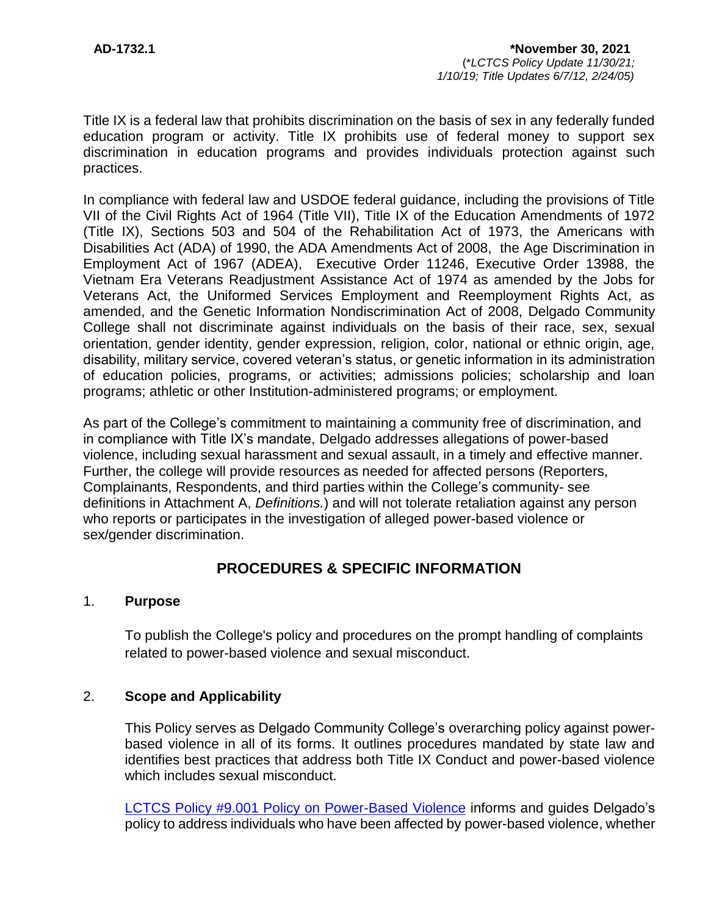Title IX is a federal law that prohibits discrimination on the basis of sex in any federally funded education program or activity. Title IX prohibits use of federal money to support sex discrimination in education programs and provides individuals protection against such practices.

In compliance with federal law and USDOE federal guidance, including the provisions of Title VII of the Civil Rights Act of 1964 (Title VII), Title IX of the Education Amendments of 1972 (Title IX), Sections 503 and 504 of the Rehabilitation Act of 1973, the Americans with Disabilities Act (ADA) of 1990, the ADA Amendments Act of 2008, the Age Discrimination in Employment Act of 1967 (ADEA), Executive Order 11246, Executive Order 13988, the Vietnam Era Veterans Readjustment Assistance Act of 1974 as amended by the Jobs for Veterans Act, the Uniformed Services Employment and Reemployment Rights Act, as amended, and the Genetic Information Nondiscrimination Act of 2008, Delgado Community College shall not discriminate against individuals on the basis of their race, sex, sexual orientation, gender identity, gender expression, religion, color, national or ethnic origin, age, disability, military service, covered veteran's status, or genetic information in its administration of education policies, programs, or activities; admissions policies; scholarship and loan programs; athletic or other Institution-administered programs; or employment.

As part of the College's commitment to maintaining a community free of discrimination, and in compliance with Title IX's mandate, Delgado addresses allegations of power-based violence, including sexual harassment and sexual assault, in a timely and effective manner. Further, the college will provide resources as needed for affected persons (Reporters, Complainants, Respondents, and third parties within the College's community- see definitions in Attachment A, *Definitions.*) and will not tolerate retaliation against any person who reports or participates in the investigation of alleged power-based violence or sex/gender discrimination.

# **PROCEDURES & SPECIFIC INFORMATION**

#### 1. **Purpose**

To publish the College's policy and procedures on the prompt handling of complaints related to power-based violence and sexual misconduct.

#### 2. **Scope and Applicability**

This Policy serves as Delgado Community College's overarching policy against powerbased violence in all of its forms. It outlines procedures mandated by state law and identifies best practices that address both Title IX Conduct and power-based violence which includes sexual misconduct.

[LCTCS Policy #9.001 Policy on Power-Based Violence](https://campussuite-storage.s3.amazonaws.com/prod/1558543/91b64910-2d2e-11e8-8c09-0a7155647e8a/2332545/120ee03a-31cd-11ec-bca0-02b4ec425fd5/file/9.001%20LCTCS%20POLICY%20ON%20POWER-BASED%20VIOLENCE%2010.20.21.pdf) informs and guides Delgado's policy to address individuals who have been affected by power-based violence, whether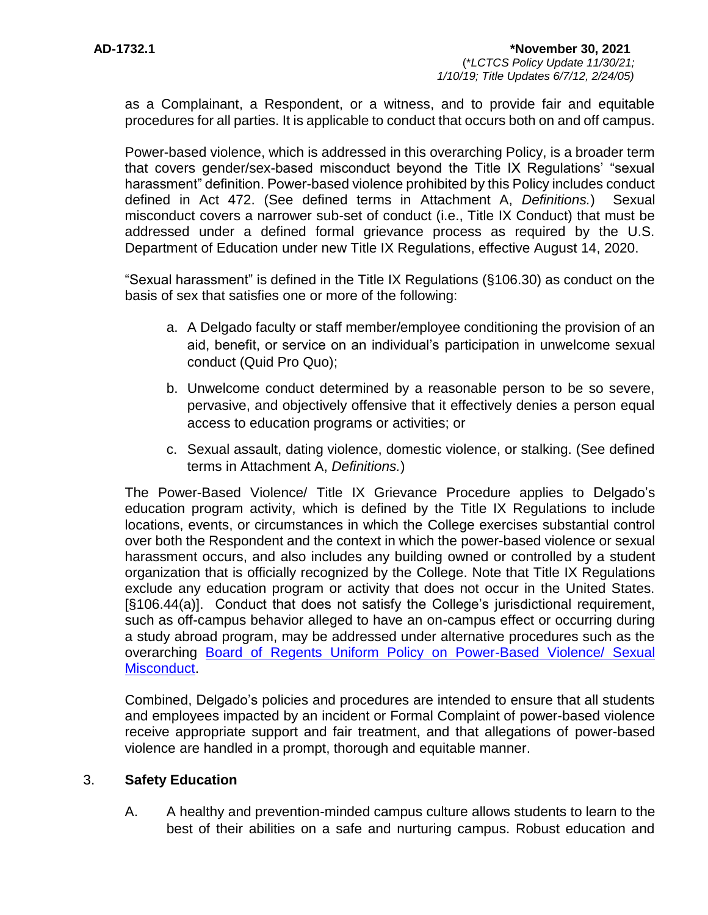as a Complainant, a Respondent, or a witness, and to provide fair and equitable procedures for all parties. It is applicable to conduct that occurs both on and off campus.

Power-based violence, which is addressed in this overarching Policy, is a broader term that covers gender/sex-based misconduct beyond the Title IX Regulations' "sexual harassment" definition. Power-based violence prohibited by this Policy includes conduct defined in Act 472. (See defined terms in Attachment A, *Definitions.*) Sexual misconduct covers a narrower sub-set of conduct (i.e., Title IX Conduct) that must be addressed under a defined formal grievance process as required by the U.S. Department of Education under new Title IX Regulations, effective August 14, 2020.

"Sexual harassment" is defined in the Title IX Regulations (§106.30) as conduct on the basis of sex that satisfies one or more of the following:

- a. A Delgado faculty or staff member/employee conditioning the provision of an aid, benefit, or service on an individual's participation in unwelcome sexual conduct (Quid Pro Quo);
- b. Unwelcome conduct determined by a reasonable person to be so severe, pervasive, and objectively offensive that it effectively denies a person equal access to education programs or activities; or
- c. Sexual assault, dating violence, domestic violence, or stalking. (See defined terms in Attachment A, *Definitions.*)

The Power-Based Violence/ Title IX Grievance Procedure applies to Delgado's education program activity, which is defined by the Title IX Regulations to include locations, events, or circumstances in which the College exercises substantial control over both the Respondent and the context in which the power-based violence or sexual harassment occurs, and also includes any building owned or controlled by a student organization that is officially recognized by the College. Note that Title IX Regulations exclude any education program or activity that does not occur in the United States. [§106.44(a)]. Conduct that does not satisfy the College's jurisdictional requirement, such as off-campus behavior alleged to have an on-campus effect or occurring during a study abroad program, may be addressed under alternative procedures such as the overarching [Board of Regents Uniform Policy on Power-Based Violence/ Sexual](https://regents.la.gov/divisions/legal-affairs/uniformpbvpolicy/)  [Misconduct.](https://regents.la.gov/divisions/legal-affairs/uniformpbvpolicy/)

Combined, Delgado's policies and procedures are intended to ensure that all students and employees impacted by an incident or Formal Complaint of power-based violence receive appropriate support and fair treatment, and that allegations of power-based violence are handled in a prompt, thorough and equitable manner.

## 3. **Safety Education**

A. A healthy and prevention-minded campus culture allows students to learn to the best of their abilities on a safe and nurturing campus. Robust education and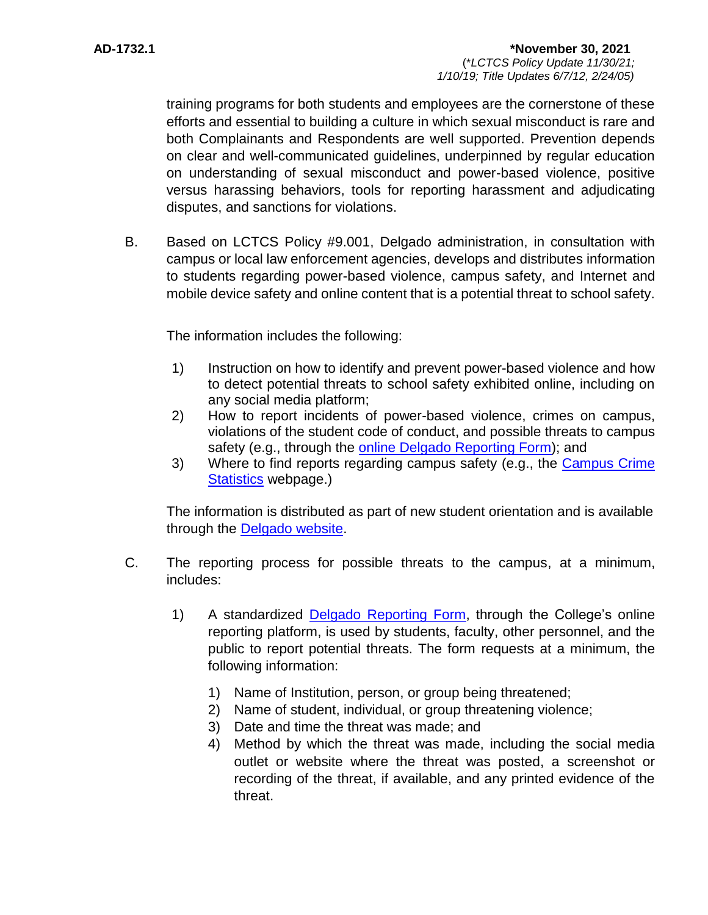training programs for both students and employees are the cornerstone of these efforts and essential to building a culture in which sexual misconduct is rare and both Complainants and Respondents are well supported. Prevention depends on clear and well-communicated guidelines, underpinned by regular education on understanding of sexual misconduct and power-based violence, positive versus harassing behaviors, tools for reporting harassment and adjudicating disputes, and sanctions for violations.

B. Based on LCTCS Policy #9.001, Delgado administration, in consultation with campus or local law enforcement agencies, develops and distributes information to students regarding power-based violence, campus safety, and Internet and mobile device safety and online content that is a potential threat to school safety.

The information includes the following:

- 1) Instruction on how to identify and prevent power-based violence and how to detect potential threats to school safety exhibited online, including on any social media platform;
- 2) How to report incidents of power-based violence, crimes on campus, violations of the student code of conduct, and possible threats to campus safety (e.g., through the **online Delgado Reporting Form**); and
- 3) Where to find reports regarding campus safety (e.g., the [Campus Crime](https://www.dcc.edu/administration/offices/police/clery-act.aspx)  [Statistics](https://www.dcc.edu/administration/offices/police/clery-act.aspx) webpage.)

The information is distributed as part of new student orientation and is available through the **Delgado** website.

- C. The reporting process for possible threats to the campus, at a minimum, includes:
	- 1) A standardized [Delgado Reporting Form,](https://cm.maxient.com/reportingform.php?LouisianaCTCS&layout_id=5) through the College's online reporting platform, is used by students, faculty, other personnel, and the public to report potential threats. The form requests at a minimum, the following information:
		- 1) Name of Institution, person, or group being threatened;
		- 2) Name of student, individual, or group threatening violence;
		- 3) Date and time the threat was made; and
		- 4) Method by which the threat was made, including the social media outlet or website where the threat was posted, a screenshot or recording of the threat, if available, and any printed evidence of the threat.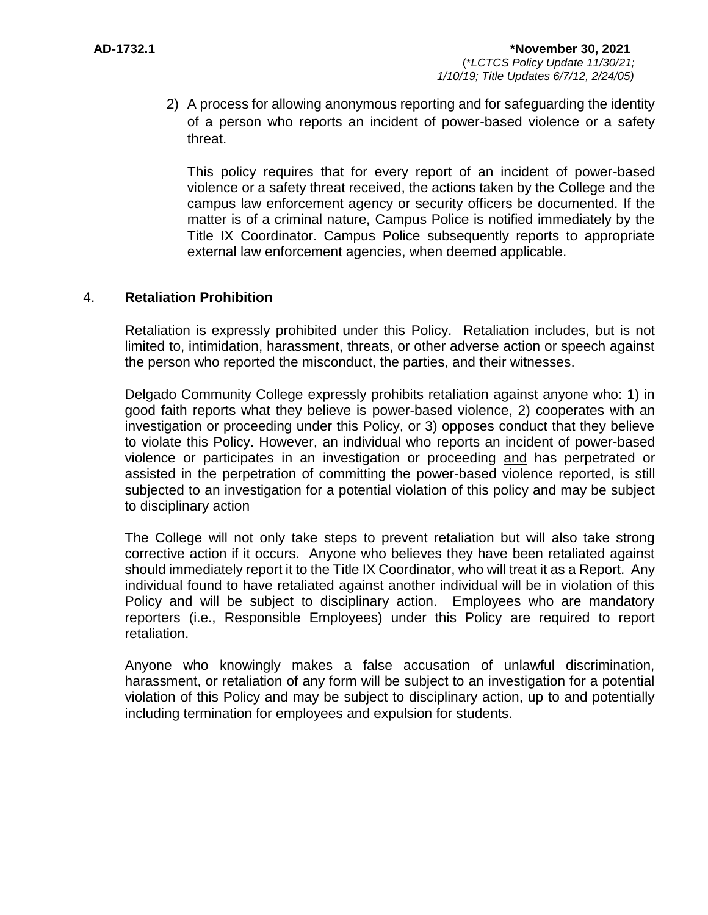2) A process for allowing anonymous reporting and for safeguarding the identity of a person who reports an incident of power-based violence or a safety threat.

This policy requires that for every report of an incident of power-based violence or a safety threat received, the actions taken by the College and the campus law enforcement agency or security officers be documented. If the matter is of a criminal nature, Campus Police is notified immediately by the Title IX Coordinator. Campus Police subsequently reports to appropriate external law enforcement agencies, when deemed applicable.

## 4. **Retaliation Prohibition**

Retaliation is expressly prohibited under this Policy. Retaliation includes, but is not limited to, intimidation, harassment, threats, or other adverse action or speech against the person who reported the misconduct, the parties, and their witnesses.

Delgado Community College expressly prohibits retaliation against anyone who: 1) in good faith reports what they believe is power-based violence, 2) cooperates with an investigation or proceeding under this Policy, or 3) opposes conduct that they believe to violate this Policy. However, an individual who reports an incident of power-based violence or participates in an investigation or proceeding and has perpetrated or assisted in the perpetration of committing the power-based violence reported, is still subjected to an investigation for a potential violation of this policy and may be subject to disciplinary action

The College will not only take steps to prevent retaliation but will also take strong corrective action if it occurs. Anyone who believes they have been retaliated against should immediately report it to the Title IX Coordinator, who will treat it as a Report. Any individual found to have retaliated against another individual will be in violation of this Policy and will be subject to disciplinary action. Employees who are mandatory reporters (i.e., Responsible Employees) under this Policy are required to report retaliation.

Anyone who knowingly makes a false accusation of unlawful discrimination, harassment, or retaliation of any form will be subject to an investigation for a potential violation of this Policy and may be subject to disciplinary action, up to and potentially including termination for employees and expulsion for students.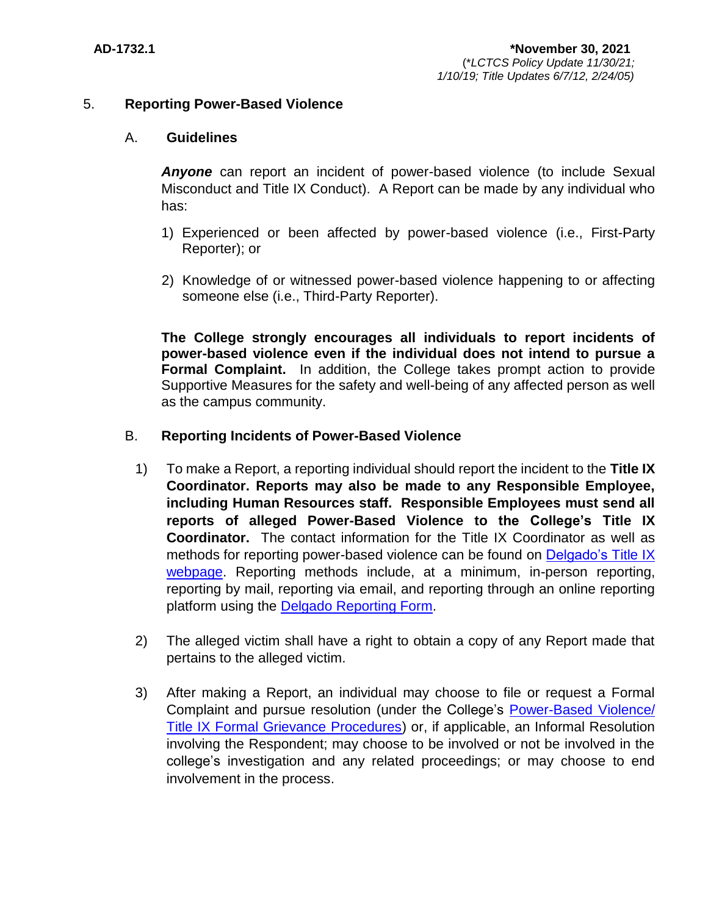## 5. **Reporting Power-Based Violence**

#### A. **Guidelines**

**Anyone** can report an incident of power-based violence (to include Sexual Misconduct and Title IX Conduct). A Report can be made by any individual who has:

- 1) Experienced or been affected by power-based violence (i.e., First-Party Reporter); or
- 2) Knowledge of or witnessed power-based violence happening to or affecting someone else (i.e., Third-Party Reporter).

**The College strongly encourages all individuals to report incidents of power-based violence even if the individual does not intend to pursue a Formal Complaint.** In addition, the College takes prompt action to provide Supportive Measures for the safety and well-being of any affected person as well as the campus community.

## B. **Reporting Incidents of Power-Based Violence**

- 1) To make a Report, a reporting individual should report the incident to the **Title IX Coordinator. Reports may also be made to any Responsible Employee, including Human Resources staff. Responsible Employees must send all reports of alleged Power-Based Violence to the College's Title IX Coordinator.** The contact information for the Title IX Coordinator as well as methods for reporting power-based violence can be found on [Delgado's Title IX](https://www.dcc.edu/title-ix/default.aspx)  [webpage.](https://www.dcc.edu/title-ix/default.aspx) Reporting methods include, at a minimum, in-person reporting, reporting by mail, reporting via email, and reporting through an online reporting platform using the [Delgado Reporting Form.](https://cm.maxient.com/reportingform.php?LouisianaCTCS&layout_id=5)
- 2) The alleged victim shall have a right to obtain a copy of any Report made that pertains to the alleged victim.
- 3) After making a Report, an individual may choose to file or request a Formal Complaint and pursue resolution (under the College's [Power-Based Violence/](http://docushare3.dcc.edu/docushare/dsweb/Get/Document-7990)  [Title IX Formal Grievance Procedures\)](http://docushare3.dcc.edu/docushare/dsweb/Get/Document-7990) or, if applicable, an Informal Resolution involving the Respondent; may choose to be involved or not be involved in the college's investigation and any related proceedings; or may choose to end involvement in the process.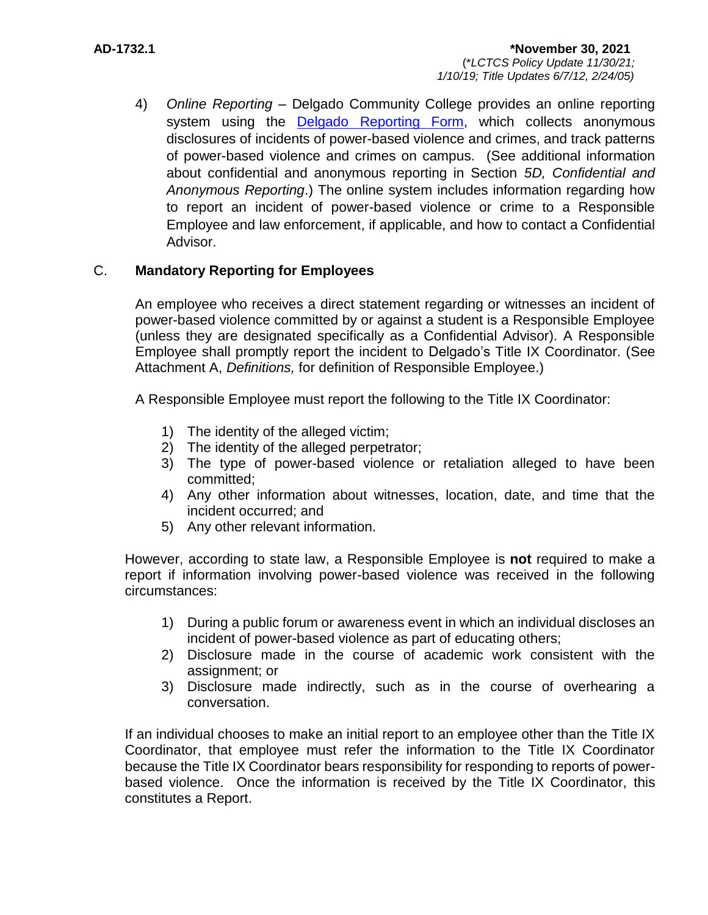4) *Online Reporting* – Delgado Community College provides an online reporting system using the **Delgado Reporting Form**, which collects anonymous disclosures of incidents of power-based violence and crimes, and track patterns of power-based violence and crimes on campus. (See additional information about confidential and anonymous reporting in Section *5D, Confidential and Anonymous Reporting*.) The online system includes information regarding how to report an incident of power-based violence or crime to a Responsible Employee and law enforcement, if applicable, and how to contact a Confidential Advisor.

## C. **Mandatory Reporting for Employees**

An employee who receives a direct statement regarding or witnesses an incident of power-based violence committed by or against a student is a Responsible Employee (unless they are designated specifically as a Confidential Advisor). A Responsible Employee shall promptly report the incident to Delgado's Title IX Coordinator. (See Attachment A, *Definitions,* for definition of Responsible Employee.)

A Responsible Employee must report the following to the Title IX Coordinator:

- 1) The identity of the alleged victim;
- 2) The identity of the alleged perpetrator;
- 3) The type of power-based violence or retaliation alleged to have been committed;
- 4) Any other information about witnesses, location, date, and time that the incident occurred; and
- 5) Any other relevant information.

However, according to state law, a Responsible Employee is **not** required to make a report if information involving power-based violence was received in the following circumstances:

- 1) During a public forum or awareness event in which an individual discloses an incident of power-based violence as part of educating others;
- 2) Disclosure made in the course of academic work consistent with the assignment; or
- 3) Disclosure made indirectly, such as in the course of overhearing a conversation.

If an individual chooses to make an initial report to an employee other than the Title IX Coordinator, that employee must refer the information to the Title IX Coordinator because the Title IX Coordinator bears responsibility for responding to reports of powerbased violence. Once the information is received by the Title IX Coordinator, this constitutes a Report.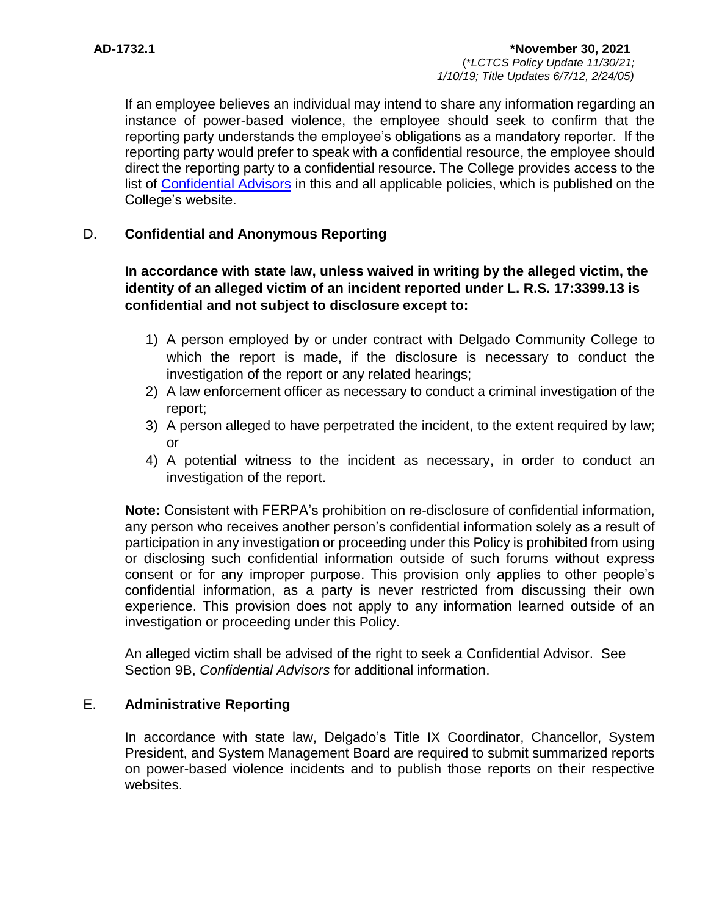If an employee believes an individual may intend to share any information regarding an instance of power-based violence, the employee should seek to confirm that the reporting party understands the employee's obligations as a mandatory reporter. If the reporting party would prefer to speak with a confidential resource, the employee should direct the reporting party to a confidential resource. The College provides access to the list of [Confidential Advisors](http://docushare3.dcc.edu/docushare/dsweb/Get/Document-1935) in this and all applicable policies, which is published on the College's website.

## D. **Confidential and Anonymous Reporting**

**In accordance with state law, unless waived in writing by the alleged victim, the identity of an alleged victim of an incident reported under L. R.S. 17:3399.13 is confidential and not subject to disclosure except to:**

- 1) A person employed by or under contract with Delgado Community College to which the report is made, if the disclosure is necessary to conduct the investigation of the report or any related hearings;
- 2) A law enforcement officer as necessary to conduct a criminal investigation of the report;
- 3) A person alleged to have perpetrated the incident, to the extent required by law; or
- 4) A potential witness to the incident as necessary, in order to conduct an investigation of the report.

**Note:** Consistent with FERPA's prohibition on re-disclosure of confidential information, any person who receives another person's confidential information solely as a result of participation in any investigation or proceeding under this Policy is prohibited from using or disclosing such confidential information outside of such forums without express consent or for any improper purpose. This provision only applies to other people's confidential information, as a party is never restricted from discussing their own experience. This provision does not apply to any information learned outside of an investigation or proceeding under this Policy.

An alleged victim shall be advised of the right to seek a Confidential Advisor. See Section 9B, *Confidential Advisors* for additional information.

## E. **Administrative Reporting**

In accordance with state law, Delgado's Title IX Coordinator, Chancellor, System President, and System Management Board are required to submit summarized reports on power-based violence incidents and to publish those reports on their respective websites.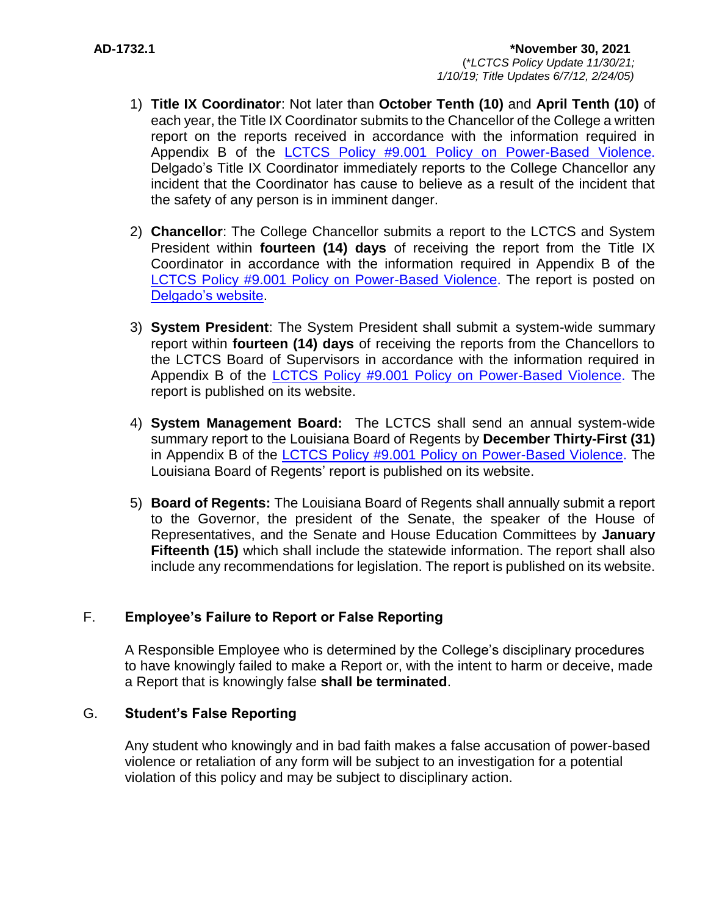- 1) **Title IX Coordinator**: Not later than **October Tenth (10)** and **April Tenth (10)** of each year, the Title IX Coordinator submits to the Chancellor of the College a written report on the reports received in accordance with the information required in Appendix B of the **LCTCS Policy #9.001 Policy on Power-Based Violence**. Delgado's Title IX Coordinator immediately reports to the College Chancellor any incident that the Coordinator has cause to believe as a result of the incident that the safety of any person is in imminent danger.
- 2) **Chancellor**: The College Chancellor submits a report to the LCTCS and System President within **fourteen (14) days** of receiving the report from the Title IX Coordinator in accordance with the information required in Appendix B of the [LCTCS Policy #9.001 Policy on Power-Based Violence.](https://campussuite-storage.s3.amazonaws.com/prod/1558543/91b64910-2d2e-11e8-8c09-0a7155647e8a/2332545/120ee03a-31cd-11ec-bca0-02b4ec425fd5/file/9.001%20LCTCS%20POLICY%20ON%20POWER-BASED%20VIOLENCE%2010.20.21.pdf) The report is posted on [Delgado's website.](https://www.dcc.edu/administration/offices/police/clery-act.aspx)
- 3) **System President**: The System President shall submit a system-wide summary report within **fourteen (14) days** of receiving the reports from the Chancellors to the LCTCS Board of Supervisors in accordance with the information required in Appendix B of the [LCTCS Policy #9.001 Policy on Power-Based Violence.](https://campussuite-storage.s3.amazonaws.com/prod/1558543/91b64910-2d2e-11e8-8c09-0a7155647e8a/2332545/120ee03a-31cd-11ec-bca0-02b4ec425fd5/file/9.001%20LCTCS%20POLICY%20ON%20POWER-BASED%20VIOLENCE%2010.20.21.pdf) The report is published on its website.
- 4) **System Management Board:** The LCTCS shall send an annual system-wide summary report to the Louisiana Board of Regents by **December Thirty-First (31)**  in Appendix B of the [LCTCS Policy #9.001 Policy on Power-Based Violence.](https://campussuite-storage.s3.amazonaws.com/prod/1558543/91b64910-2d2e-11e8-8c09-0a7155647e8a/2332545/120ee03a-31cd-11ec-bca0-02b4ec425fd5/file/9.001%20LCTCS%20POLICY%20ON%20POWER-BASED%20VIOLENCE%2010.20.21.pdf) The Louisiana Board of Regents' report is published on its website.
- 5) **Board of Regents:** The Louisiana Board of Regents shall annually submit a report to the Governor, the president of the Senate, the speaker of the House of Representatives, and the Senate and House Education Committees by **January Fifteenth (15)** which shall include the statewide information. The report shall also include any recommendations for legislation. The report is published on its website.

# F. **Employee's Failure to Report or False Reporting**

A Responsible Employee who is determined by the College's disciplinary procedures to have knowingly failed to make a Report or, with the intent to harm or deceive, made a Report that is knowingly false **shall be terminated**.

## G. **Student's False Reporting**

Any student who knowingly and in bad faith makes a false accusation of power-based violence or retaliation of any form will be subject to an investigation for a potential violation of this policy and may be subject to disciplinary action.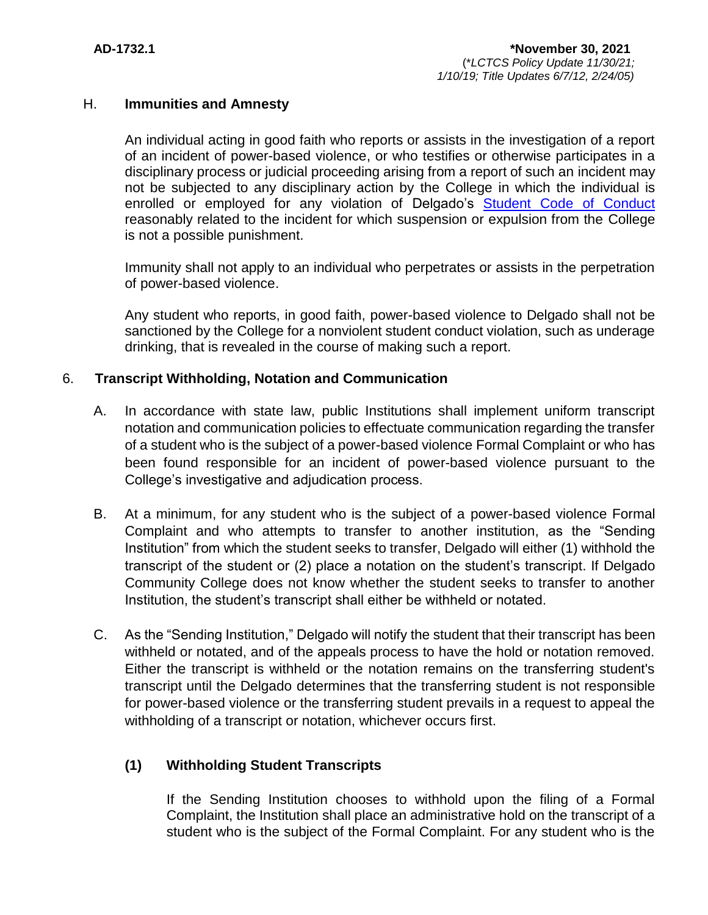#### H. **Immunities and Amnesty**

An individual acting in good faith who reports or assists in the investigation of a report of an incident of power-based violence, or who testifies or otherwise participates in a disciplinary process or judicial proceeding arising from a report of such an incident may not be subjected to any disciplinary action by the College in which the individual is enrolled or employed for any violation of Delgado's [Student Code of Conduct](http://docushare3.dcc.edu/docushare/dsweb/Get/Document-80) reasonably related to the incident for which suspension or expulsion from the College is not a possible punishment.

Immunity shall not apply to an individual who perpetrates or assists in the perpetration of power-based violence.

Any student who reports, in good faith, power-based violence to Delgado shall not be sanctioned by the College for a nonviolent student conduct violation, such as underage drinking, that is revealed in the course of making such a report.

## 6. **Transcript Withholding, Notation and Communication**

- A. In accordance with state law, public Institutions shall implement uniform transcript notation and communication policies to effectuate communication regarding the transfer of a student who is the subject of a power-based violence Formal Complaint or who has been found responsible for an incident of power-based violence pursuant to the College's investigative and adjudication process.
- B. At a minimum, for any student who is the subject of a power-based violence Formal Complaint and who attempts to transfer to another institution, as the "Sending Institution" from which the student seeks to transfer, Delgado will either (1) withhold the transcript of the student or (2) place a notation on the student's transcript. If Delgado Community College does not know whether the student seeks to transfer to another Institution, the student's transcript shall either be withheld or notated.
- C. As the "Sending Institution," Delgado will notify the student that their transcript has been withheld or notated, and of the appeals process to have the hold or notation removed. Either the transcript is withheld or the notation remains on the transferring student's transcript until the Delgado determines that the transferring student is not responsible for power-based violence or the transferring student prevails in a request to appeal the withholding of a transcript or notation, whichever occurs first.

## **(1) Withholding Student Transcripts**

If the Sending Institution chooses to withhold upon the filing of a Formal Complaint, the Institution shall place an administrative hold on the transcript of a student who is the subject of the Formal Complaint. For any student who is the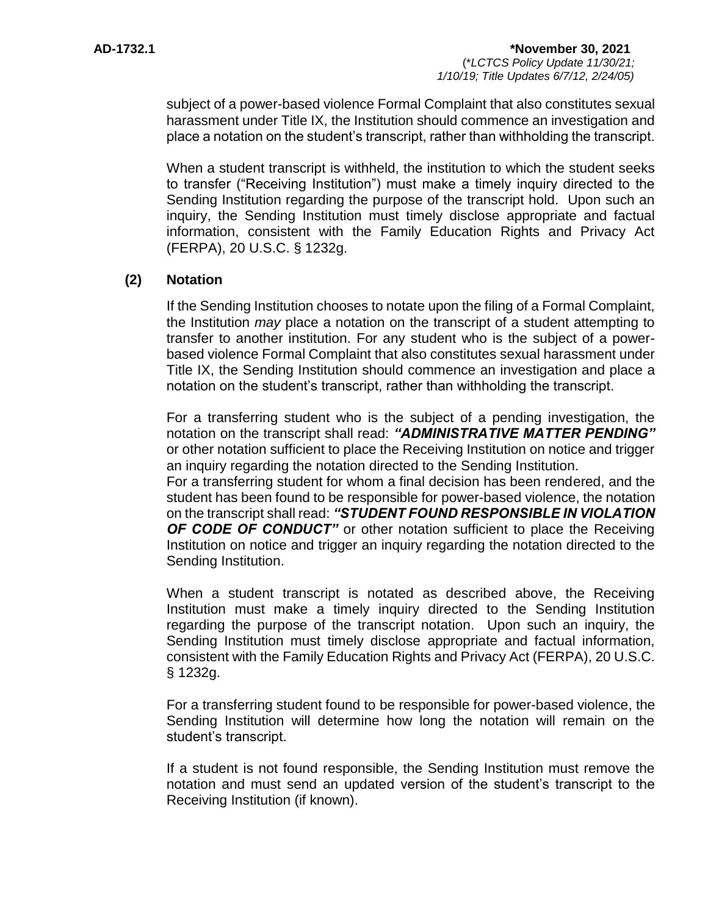subject of a power-based violence Formal Complaint that also constitutes sexual harassment under Title IX, the Institution should commence an investigation and place a notation on the student's transcript, rather than withholding the transcript.

When a student transcript is withheld, the institution to which the student seeks to transfer ("Receiving Institution") must make a timely inquiry directed to the Sending Institution regarding the purpose of the transcript hold. Upon such an inquiry, the Sending Institution must timely disclose appropriate and factual information, consistent with the Family Education Rights and Privacy Act (FERPA), 20 U.S.C. § 1232g.

## **(2) Notation**

If the Sending Institution chooses to notate upon the filing of a Formal Complaint, the Institution *may* place a notation on the transcript of a student attempting to transfer to another institution. For any student who is the subject of a powerbased violence Formal Complaint that also constitutes sexual harassment under Title IX, the Sending Institution should commence an investigation and place a notation on the student's transcript, rather than withholding the transcript.

For a transferring student who is the subject of a pending investigation, the notation on the transcript shall read: *"ADMINISTRATIVE MATTER PENDING"*  or other notation sufficient to place the Receiving Institution on notice and trigger an inquiry regarding the notation directed to the Sending Institution. For a transferring student for whom a final decision has been rendered, and the student has been found to be responsible for power-based violence, the notation on the transcript shall read: *"STUDENT FOUND RESPONSIBLE IN VIOLATION OF CODE OF CONDUCT* or other notation sufficient to place the Receiving Institution on notice and trigger an inquiry regarding the notation directed to the Sending Institution.

When a student transcript is notated as described above, the Receiving Institution must make a timely inquiry directed to the Sending Institution regarding the purpose of the transcript notation. Upon such an inquiry, the Sending Institution must timely disclose appropriate and factual information, consistent with the Family Education Rights and Privacy Act (FERPA), 20 U.S.C. § 1232g.

For a transferring student found to be responsible for power-based violence, the Sending Institution will determine how long the notation will remain on the student's transcript.

If a student is not found responsible, the Sending Institution must remove the notation and must send an updated version of the student's transcript to the Receiving Institution (if known).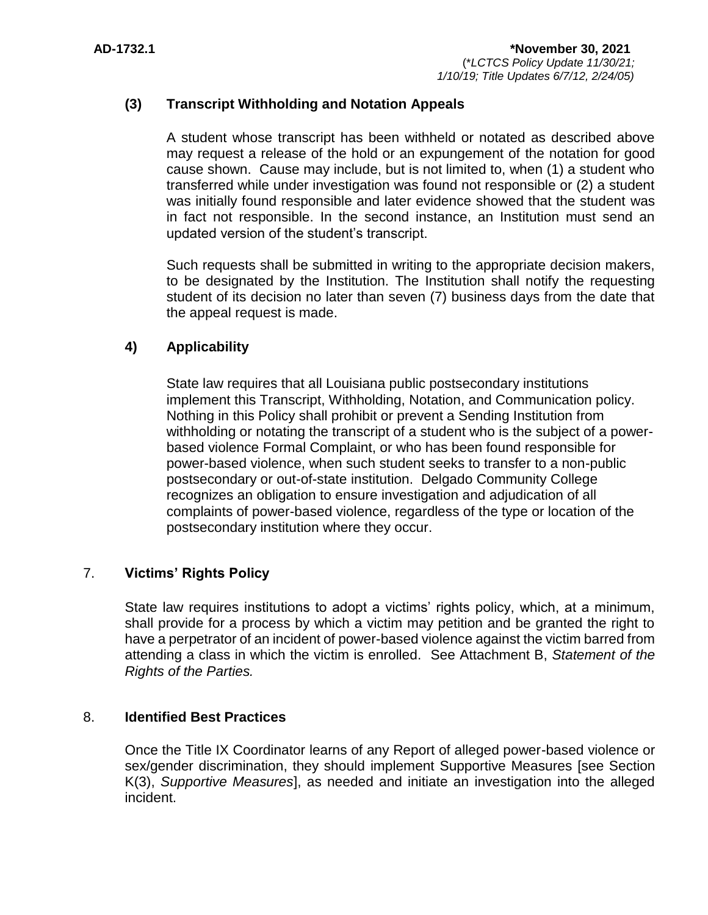## **(3) Transcript Withholding and Notation Appeals**

A student whose transcript has been withheld or notated as described above may request a release of the hold or an expungement of the notation for good cause shown. Cause may include, but is not limited to, when (1) a student who transferred while under investigation was found not responsible or (2) a student was initially found responsible and later evidence showed that the student was in fact not responsible. In the second instance, an Institution must send an updated version of the student's transcript.

Such requests shall be submitted in writing to the appropriate decision makers, to be designated by the Institution. The Institution shall notify the requesting student of its decision no later than seven (7) business days from the date that the appeal request is made.

## **4) Applicability**

State law requires that all Louisiana public postsecondary institutions implement this Transcript, Withholding, Notation, and Communication policy. Nothing in this Policy shall prohibit or prevent a Sending Institution from withholding or notating the transcript of a student who is the subject of a powerbased violence Formal Complaint, or who has been found responsible for power-based violence, when such student seeks to transfer to a non-public postsecondary or out-of-state institution. Delgado Community College recognizes an obligation to ensure investigation and adjudication of all complaints of power-based violence, regardless of the type or location of the postsecondary institution where they occur.

## 7. **Victims' Rights Policy**

State law requires institutions to adopt a victims' rights policy, which, at a minimum, shall provide for a process by which a victim may petition and be granted the right to have a perpetrator of an incident of power-based violence against the victim barred from attending a class in which the victim is enrolled. See Attachment B, *Statement of the Rights of the Parties.*

## 8. **Identified Best Practices**

Once the Title IX Coordinator learns of any Report of alleged power-based violence or sex/gender discrimination, they should implement Supportive Measures [see Section K(3), *Supportive Measures*], as needed and initiate an investigation into the alleged incident.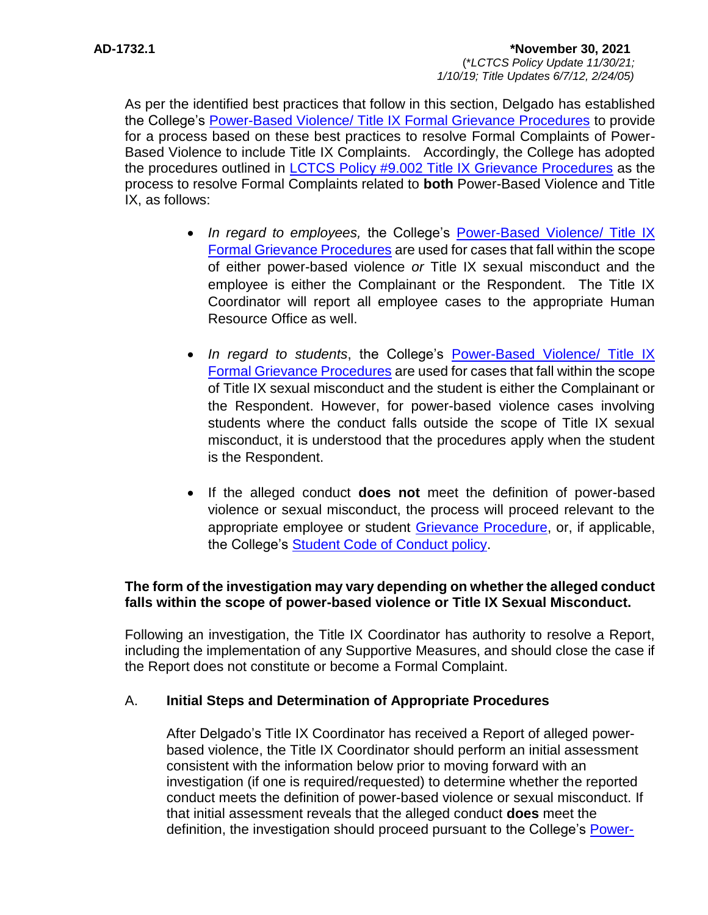As per the identified best practices that follow in this section, Delgado has established the College's [Power-Based Violence/ Title IX Formal Grievance Procedures](http://docushare3.dcc.edu/docushare/dsweb/Get/Document-7990) to provide for a process based on these best practices to resolve Formal Complaints of Power-Based Violence to include Title IX Complaints. Accordingly, the College has adopted the procedures outlined in [LCTCS Policy #9.002 Title IX Grievance Procedures](https://campussuite-storage.s3.amazonaws.com/prod/1558543/91b64910-2d2e-11e8-8c09-0a7155647e8a/2332546/120ee65c-31cd-11ec-9fc1-02b4ec425fd5/file/9.002%20LCTCS%20TITLE%20IX%20GRIEVANCE%20PROCEDURES%2010.20.21.pdf) as the process to resolve Formal Complaints related to **both** Power-Based Violence and Title IX, as follows:

- *In regard to employees,* the College's [Power-Based Violence/ Title IX](http://docushare3.dcc.edu/docushare/dsweb/Get/Document-7990)  [Formal Grievance Procedures](http://docushare3.dcc.edu/docushare/dsweb/Get/Document-7990) are used for cases that fall within the scope of either power-based violence *or* Title IX sexual misconduct and the employee is either the Complainant or the Respondent. The Title IX Coordinator will report all employee cases to the appropriate Human Resource Office as well.
- *In regard to students*, the College's [Power-Based Violence/ Title IX](http://docushare3.dcc.edu/docushare/dsweb/Get/Document-7990)  [Formal Grievance Procedures](http://docushare3.dcc.edu/docushare/dsweb/Get/Document-7990) are used for cases that fall within the scope of Title IX sexual misconduct and the student is either the Complainant or the Respondent. However, for power-based violence cases involving students where the conduct falls outside the scope of Title IX sexual misconduct, it is understood that the procedures apply when the student is the Respondent.
- If the alleged conduct **does not** meet the definition of power-based violence or sexual misconduct, the process will proceed relevant to the appropriate employee or student [Grievance Procedure,](https://www.dcc.edu/administration/policies/human-resources/grievance-procedures.aspx) or, if applicable, the College's [Student Code of Conduct policy.](http://docushare3.dcc.edu/docushare/dsweb/Get/Document-80)

## **The form of the investigation may vary depending on whether the alleged conduct falls within the scope of power-based violence or Title IX Sexual Misconduct.**

Following an investigation, the Title IX Coordinator has authority to resolve a Report, including the implementation of any Supportive Measures, and should close the case if the Report does not constitute or become a Formal Complaint.

## A. **Initial Steps and Determination of Appropriate Procedures**

After Delgado's Title IX Coordinator has received a Report of alleged powerbased violence, the Title IX Coordinator should perform an initial assessment consistent with the information below prior to moving forward with an investigation (if one is required/requested) to determine whether the reported conduct meets the definition of power-based violence or sexual misconduct. If that initial assessment reveals that the alleged conduct **does** meet the definition, the investigation should proceed pursuant to the College's [Power-](http://docushare3.dcc.edu/docushare/dsweb/Get/Document-7990)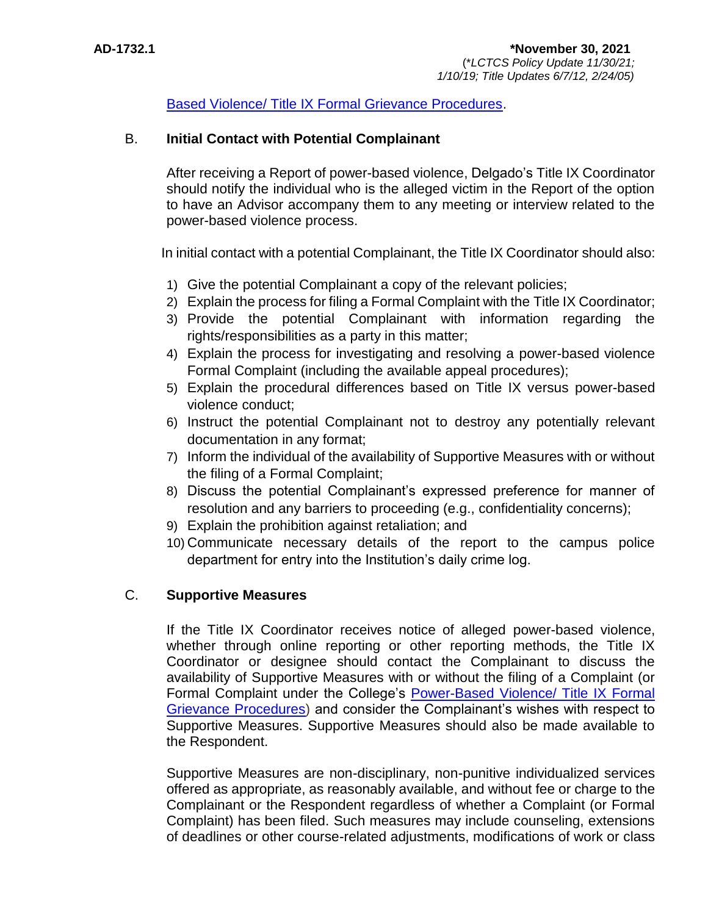## [Based Violence/ Title IX Formal Grievance Procedures.](http://docushare3.dcc.edu/docushare/dsweb/Get/Document-7990)

## B. **Initial Contact with Potential Complainant**

After receiving a Report of power-based violence, Delgado's Title IX Coordinator should notify the individual who is the alleged victim in the Report of the option to have an Advisor accompany them to any meeting or interview related to the power-based violence process.

In initial contact with a potential Complainant, the Title IX Coordinator should also:

- 1) Give the potential Complainant a copy of the relevant policies;
- 2) Explain the process for filing a Formal Complaint with the Title IX Coordinator;
- 3) Provide the potential Complainant with information regarding the rights/responsibilities as a party in this matter;
- 4) Explain the process for investigating and resolving a power-based violence Formal Complaint (including the available appeal procedures);
- 5) Explain the procedural differences based on Title IX versus power-based violence conduct;
- 6) Instruct the potential Complainant not to destroy any potentially relevant documentation in any format;
- 7) Inform the individual of the availability of Supportive Measures with or without the filing of a Formal Complaint;
- 8) Discuss the potential Complainant's expressed preference for manner of resolution and any barriers to proceeding (e.g., confidentiality concerns);
- 9) Explain the prohibition against retaliation; and
- 10) Communicate necessary details of the report to the campus police department for entry into the Institution's daily crime log.

## C. **Supportive Measures**

If the Title IX Coordinator receives notice of alleged power-based violence, whether through online reporting or other reporting methods, the Title IX Coordinator or designee should contact the Complainant to discuss the availability of Supportive Measures with or without the filing of a Complaint (or Formal Complaint under the College's [Power-Based Violence/ Title IX Formal](http://docushare3.dcc.edu/docushare/dsweb/Get/Document-7990)  [Grievance Procedures\)](http://docushare3.dcc.edu/docushare/dsweb/Get/Document-7990) and consider the Complainant's wishes with respect to Supportive Measures. Supportive Measures should also be made available to the Respondent.

Supportive Measures are non-disciplinary, non-punitive individualized services offered as appropriate, as reasonably available, and without fee or charge to the Complainant or the Respondent regardless of whether a Complaint (or Formal Complaint) has been filed. Such measures may include counseling, extensions of deadlines or other course-related adjustments, modifications of work or class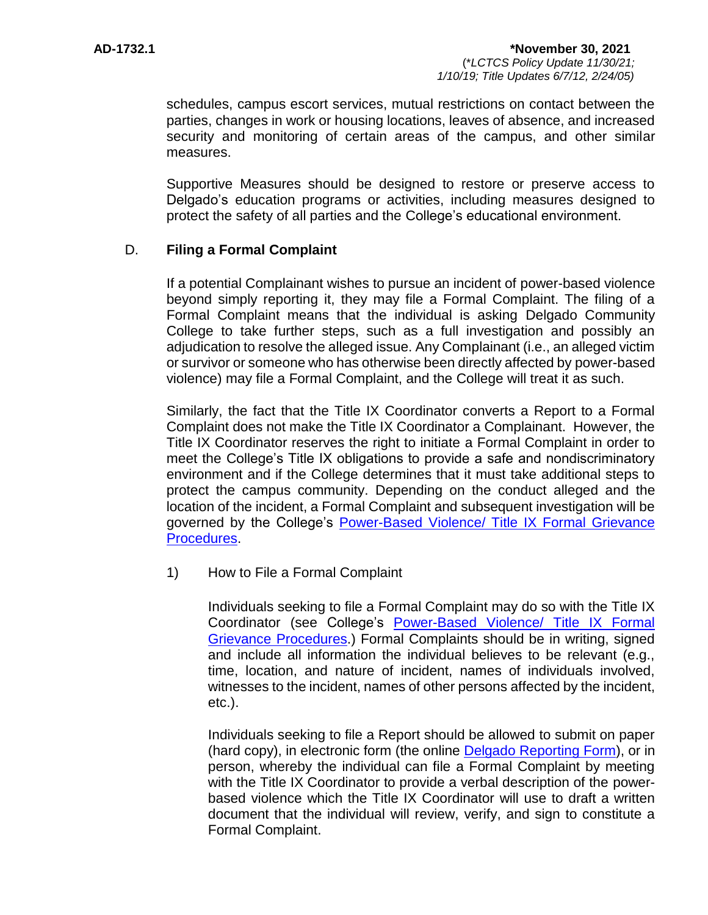schedules, campus escort services, mutual restrictions on contact between the parties, changes in work or housing locations, leaves of absence, and increased security and monitoring of certain areas of the campus, and other similar measures.

Supportive Measures should be designed to restore or preserve access to Delgado's education programs or activities, including measures designed to protect the safety of all parties and the College's educational environment.

## D. **Filing a Formal Complaint**

If a potential Complainant wishes to pursue an incident of power-based violence beyond simply reporting it, they may file a Formal Complaint. The filing of a Formal Complaint means that the individual is asking Delgado Community College to take further steps, such as a full investigation and possibly an adjudication to resolve the alleged issue. Any Complainant (i.e., an alleged victim or survivor or someone who has otherwise been directly affected by power-based violence) may file a Formal Complaint, and the College will treat it as such.

Similarly, the fact that the Title IX Coordinator converts a Report to a Formal Complaint does not make the Title IX Coordinator a Complainant. However, the Title IX Coordinator reserves the right to initiate a Formal Complaint in order to meet the College's Title IX obligations to provide a safe and nondiscriminatory environment and if the College determines that it must take additional steps to protect the campus community. Depending on the conduct alleged and the location of the incident, a Formal Complaint and subsequent investigation will be governed by the College's [Power-Based Violence/ Title IX Formal Grievance](http://docushare3.dcc.edu/docushare/dsweb/Get/Document-7990)  [Procedures.](http://docushare3.dcc.edu/docushare/dsweb/Get/Document-7990)

1) How to File a Formal Complaint

Individuals seeking to file a Formal Complaint may do so with the Title IX Coordinator (see College's [Power-Based Violence/ Title IX Formal](http://docushare3.dcc.edu/docushare/dsweb/Get/Document-7990)  [Grievance Procedures.](http://docushare3.dcc.edu/docushare/dsweb/Get/Document-7990)) Formal Complaints should be in writing, signed and include all information the individual believes to be relevant (e.g., time, location, and nature of incident, names of individuals involved, witnesses to the incident, names of other persons affected by the incident, etc.).

Individuals seeking to file a Report should be allowed to submit on paper (hard copy), in electronic form (the online [Delgado Reporting Form\)](https://cm.maxient.com/reportingform.php?LouisianaCTCS&layout_id=5), or in person, whereby the individual can file a Formal Complaint by meeting with the Title IX Coordinator to provide a verbal description of the powerbased violence which the Title IX Coordinator will use to draft a written document that the individual will review, verify, and sign to constitute a Formal Complaint.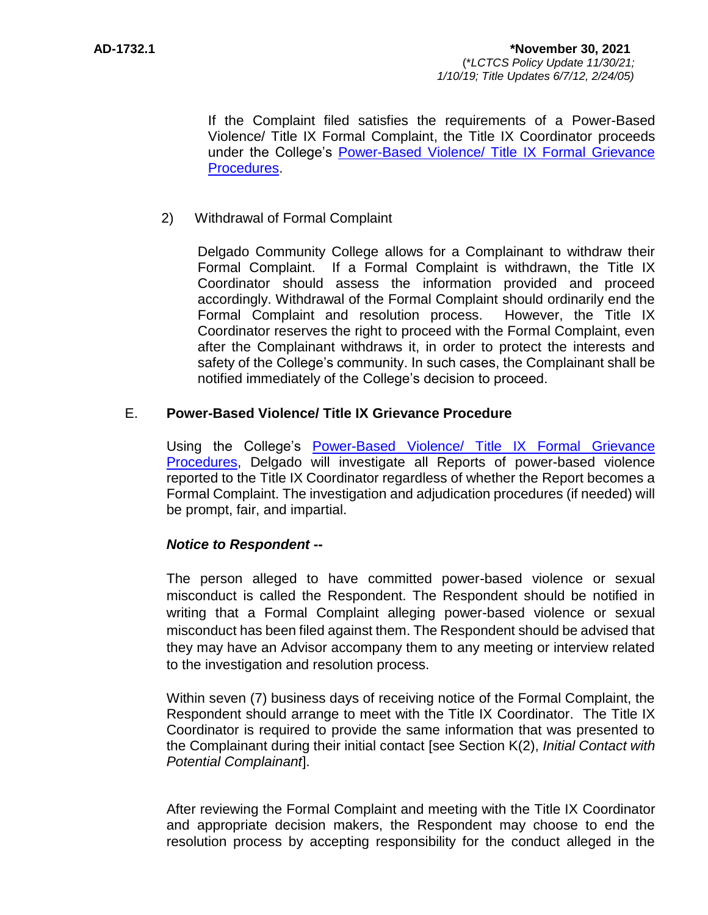If the Complaint filed satisfies the requirements of a Power-Based Violence/ Title IX Formal Complaint, the Title IX Coordinator proceeds under the College's [Power-Based Violence/ Title IX Formal Grievance](http://docushare3.dcc.edu/docushare/dsweb/Get/Document-7990)  [Procedures.](http://docushare3.dcc.edu/docushare/dsweb/Get/Document-7990)

## 2) Withdrawal of Formal Complaint

Delgado Community College allows for a Complainant to withdraw their Formal Complaint. If a Formal Complaint is withdrawn, the Title IX Coordinator should assess the information provided and proceed accordingly. Withdrawal of the Formal Complaint should ordinarily end the Formal Complaint and resolution process. However, the Title IX Coordinator reserves the right to proceed with the Formal Complaint, even after the Complainant withdraws it, in order to protect the interests and safety of the College's community. In such cases, the Complainant shall be notified immediately of the College's decision to proceed.

## E. **Power-Based Violence/ Title IX Grievance Procedure**

Using the College's [Power-Based Violence/ Title IX Formal Grievance](http://docushare3.dcc.edu/docushare/dsweb/Get/Document-7990)  [Procedures,](http://docushare3.dcc.edu/docushare/dsweb/Get/Document-7990) Delgado will investigate all Reports of power-based violence reported to the Title IX Coordinator regardless of whether the Report becomes a Formal Complaint. The investigation and adjudication procedures (if needed) will be prompt, fair, and impartial.

#### *Notice to Respondent* **--**

The person alleged to have committed power-based violence or sexual misconduct is called the Respondent. The Respondent should be notified in writing that a Formal Complaint alleging power-based violence or sexual misconduct has been filed against them. The Respondent should be advised that they may have an Advisor accompany them to any meeting or interview related to the investigation and resolution process.

Within seven (7) business days of receiving notice of the Formal Complaint, the Respondent should arrange to meet with the Title IX Coordinator. The Title IX Coordinator is required to provide the same information that was presented to the Complainant during their initial contact [see Section K(2), *Initial Contact with Potential Complainant*].

After reviewing the Formal Complaint and meeting with the Title IX Coordinator and appropriate decision makers, the Respondent may choose to end the resolution process by accepting responsibility for the conduct alleged in the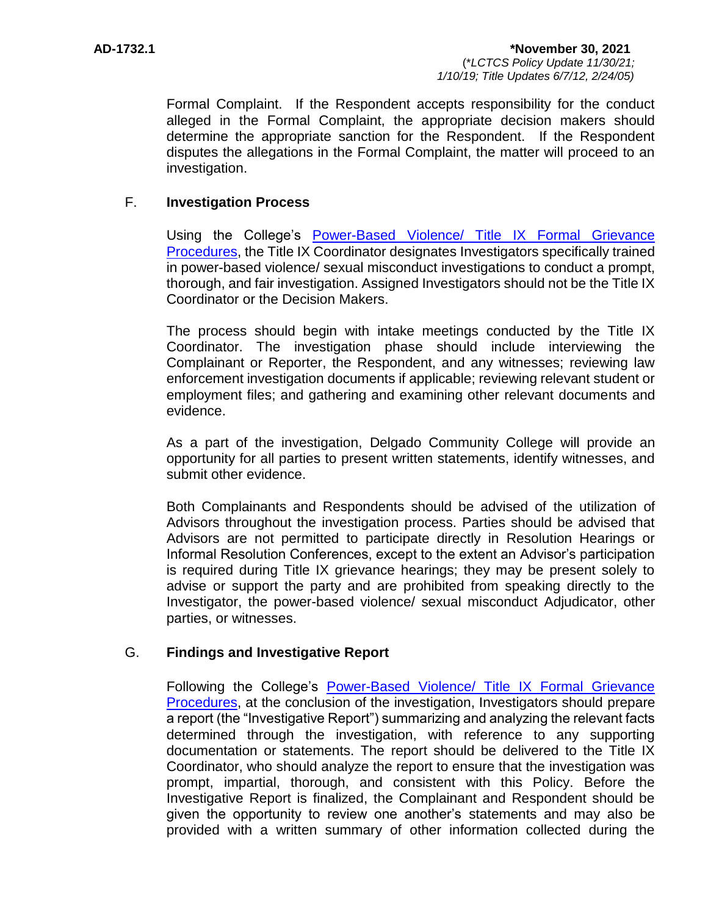Formal Complaint. If the Respondent accepts responsibility for the conduct alleged in the Formal Complaint, the appropriate decision makers should determine the appropriate sanction for the Respondent. If the Respondent disputes the allegations in the Formal Complaint, the matter will proceed to an investigation.

## F. **Investigation Process**

Using the College's [Power-Based Violence/ Title IX Formal Grievance](http://docushare3.dcc.edu/docushare/dsweb/Get/Document-7990)  [Procedures,](http://docushare3.dcc.edu/docushare/dsweb/Get/Document-7990) the Title IX Coordinator designates Investigators specifically trained in power-based violence/ sexual misconduct investigations to conduct a prompt, thorough, and fair investigation. Assigned Investigators should not be the Title IX Coordinator or the Decision Makers.

The process should begin with intake meetings conducted by the Title IX Coordinator. The investigation phase should include interviewing the Complainant or Reporter, the Respondent, and any witnesses; reviewing law enforcement investigation documents if applicable; reviewing relevant student or employment files; and gathering and examining other relevant documents and evidence.

As a part of the investigation, Delgado Community College will provide an opportunity for all parties to present written statements, identify witnesses, and submit other evidence.

Both Complainants and Respondents should be advised of the utilization of Advisors throughout the investigation process. Parties should be advised that Advisors are not permitted to participate directly in Resolution Hearings or Informal Resolution Conferences, except to the extent an Advisor's participation is required during Title IX grievance hearings; they may be present solely to advise or support the party and are prohibited from speaking directly to the Investigator, the power-based violence/ sexual misconduct Adjudicator, other parties, or witnesses.

#### G. **Findings and Investigative Report**

Following the College's [Power-Based Violence/ Title IX Formal Grievance](http://docushare3.dcc.edu/docushare/dsweb/Get/Document-7990)  [Procedures,](http://docushare3.dcc.edu/docushare/dsweb/Get/Document-7990) at the conclusion of the investigation, Investigators should prepare a report (the "Investigative Report") summarizing and analyzing the relevant facts determined through the investigation, with reference to any supporting documentation or statements. The report should be delivered to the Title IX Coordinator, who should analyze the report to ensure that the investigation was prompt, impartial, thorough, and consistent with this Policy. Before the Investigative Report is finalized, the Complainant and Respondent should be given the opportunity to review one another's statements and may also be provided with a written summary of other information collected during the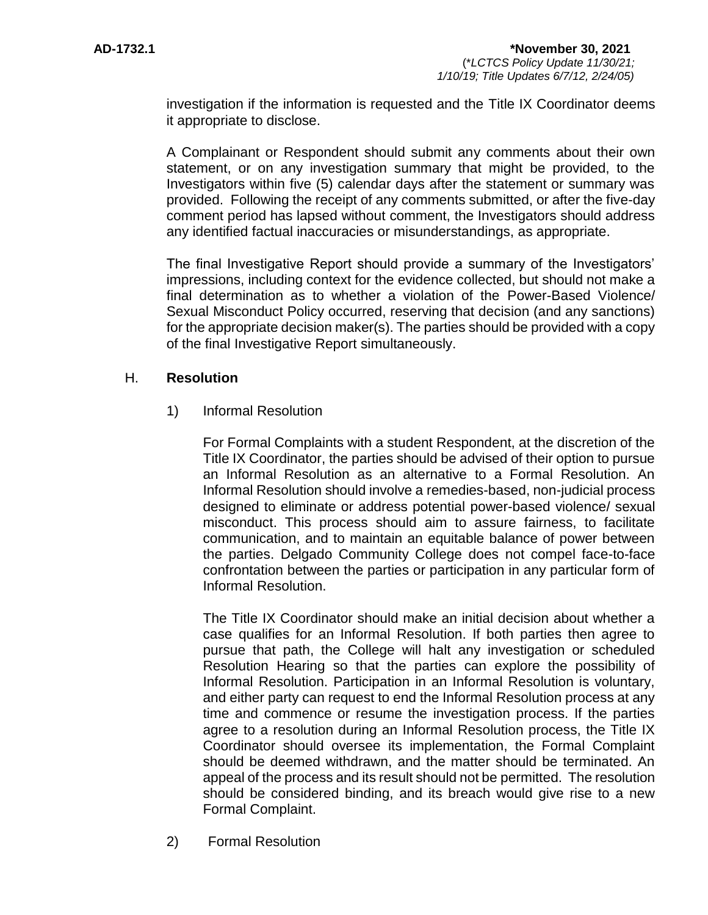investigation if the information is requested and the Title IX Coordinator deems it appropriate to disclose.

A Complainant or Respondent should submit any comments about their own statement, or on any investigation summary that might be provided, to the Investigators within five (5) calendar days after the statement or summary was provided. Following the receipt of any comments submitted, or after the five-day comment period has lapsed without comment, the Investigators should address any identified factual inaccuracies or misunderstandings, as appropriate.

The final Investigative Report should provide a summary of the Investigators' impressions, including context for the evidence collected, but should not make a final determination as to whether a violation of the Power-Based Violence/ Sexual Misconduct Policy occurred, reserving that decision (and any sanctions) for the appropriate decision maker(s). The parties should be provided with a copy of the final Investigative Report simultaneously.

## H. **Resolution**

1) Informal Resolution

For Formal Complaints with a student Respondent, at the discretion of the Title IX Coordinator, the parties should be advised of their option to pursue an Informal Resolution as an alternative to a Formal Resolution. An Informal Resolution should involve a remedies-based, non-judicial process designed to eliminate or address potential power-based violence/ sexual misconduct. This process should aim to assure fairness, to facilitate communication, and to maintain an equitable balance of power between the parties. Delgado Community College does not compel face-to-face confrontation between the parties or participation in any particular form of Informal Resolution.

The Title IX Coordinator should make an initial decision about whether a case qualifies for an Informal Resolution. If both parties then agree to pursue that path, the College will halt any investigation or scheduled Resolution Hearing so that the parties can explore the possibility of Informal Resolution. Participation in an Informal Resolution is voluntary, and either party can request to end the Informal Resolution process at any time and commence or resume the investigation process. If the parties agree to a resolution during an Informal Resolution process, the Title IX Coordinator should oversee its implementation, the Formal Complaint should be deemed withdrawn, and the matter should be terminated. An appeal of the process and its result should not be permitted. The resolution should be considered binding, and its breach would give rise to a new Formal Complaint.

2) Formal Resolution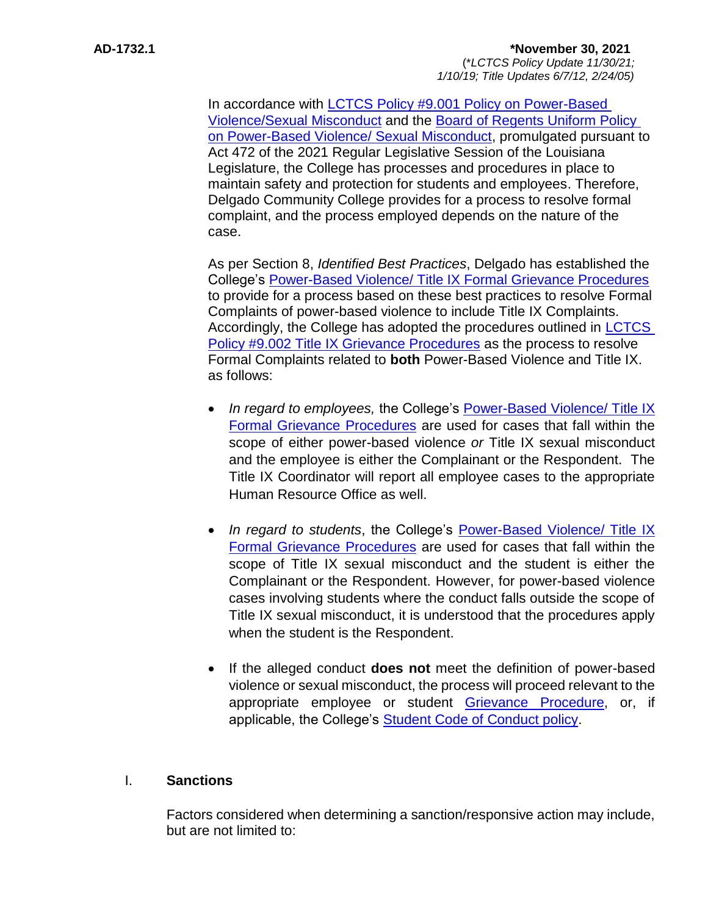In accordance with [LCTCS Policy #9.001 Policy on Power-Based](https://campussuite-storage.s3.amazonaws.com/prod/1558543/91b64910-2d2e-11e8-8c09-0a7155647e8a/2332545/120ee03a-31cd-11ec-bca0-02b4ec425fd5/file/9.001%20LCTCS%20POLICY%20ON%20POWER-BASED%20VIOLENCE%2010.20.21.pdf)  [Violence/Sexual Misconduct](https://campussuite-storage.s3.amazonaws.com/prod/1558543/91b64910-2d2e-11e8-8c09-0a7155647e8a/2332545/120ee03a-31cd-11ec-bca0-02b4ec425fd5/file/9.001%20LCTCS%20POLICY%20ON%20POWER-BASED%20VIOLENCE%2010.20.21.pdf) and the [Board of Regents Uniform Policy](https://regents.la.gov/divisions/legal-affairs/uniformpbvpolicy/)  [on Power-Based Violence/ Sexual Misconduct,](https://regents.la.gov/divisions/legal-affairs/uniformpbvpolicy/) promulgated pursuant to Act 472 of the 2021 Regular Legislative Session of the Louisiana Legislature, the College has processes and procedures in place to maintain safety and protection for students and employees. Therefore, Delgado Community College provides for a process to resolve formal complaint, and the process employed depends on the nature of the case.

As per Section 8, *Identified Best Practices*, Delgado has established the College's [Power-Based Violence/ Title IX Formal Grievance Procedures](http://docushare3.dcc.edu/docushare/dsweb/Get/Document-7990) to provide for a process based on these best practices to resolve Formal Complaints of power-based violence to include Title IX Complaints. Accordingly, the College has adopted the procedures outlined in [LCTCS](https://campussuite-storage.s3.amazonaws.com/prod/1558543/91b64910-2d2e-11e8-8c09-0a7155647e8a/2332546/120ee65c-31cd-11ec-9fc1-02b4ec425fd5/file/9.002%20LCTCS%20TITLE%20IX%20GRIEVANCE%20PROCEDURES%2010.20.21.pdf)  [Policy #9.002 Title IX Grievance Procedures](https://campussuite-storage.s3.amazonaws.com/prod/1558543/91b64910-2d2e-11e8-8c09-0a7155647e8a/2332546/120ee65c-31cd-11ec-9fc1-02b4ec425fd5/file/9.002%20LCTCS%20TITLE%20IX%20GRIEVANCE%20PROCEDURES%2010.20.21.pdf) as the process to resolve Formal Complaints related to **both** Power-Based Violence and Title IX. as follows:

- *In regard to employees,* the College's [Power-Based Violence/ Title IX](http://docushare3.dcc.edu/docushare/dsweb/Get/Document-7990)  [Formal Grievance Procedures](http://docushare3.dcc.edu/docushare/dsweb/Get/Document-7990) are used for cases that fall within the scope of either power-based violence *or* Title IX sexual misconduct and the employee is either the Complainant or the Respondent. The Title IX Coordinator will report all employee cases to the appropriate Human Resource Office as well.
- *In regard to students*, the College's [Power-Based Violence/ Title IX](http://docushare3.dcc.edu/docushare/dsweb/Get/Document-7990)  [Formal Grievance Procedures](http://docushare3.dcc.edu/docushare/dsweb/Get/Document-7990) are used for cases that fall within the scope of Title IX sexual misconduct and the student is either the Complainant or the Respondent. However, for power-based violence cases involving students where the conduct falls outside the scope of Title IX sexual misconduct, it is understood that the procedures apply when the student is the Respondent.
- If the alleged conduct **does not** meet the definition of power-based violence or sexual misconduct, the process will proceed relevant to the appropriate employee or student [Grievance Procedure,](https://www.dcc.edu/administration/policies/human-resources/grievance-procedures.aspx) or, if applicable, the College's [Student Code of Conduct policy.](http://docushare3.dcc.edu/docushare/dsweb/Get/Document-80)

## I. **Sanctions**

Factors considered when determining a sanction/responsive action may include, but are not limited to: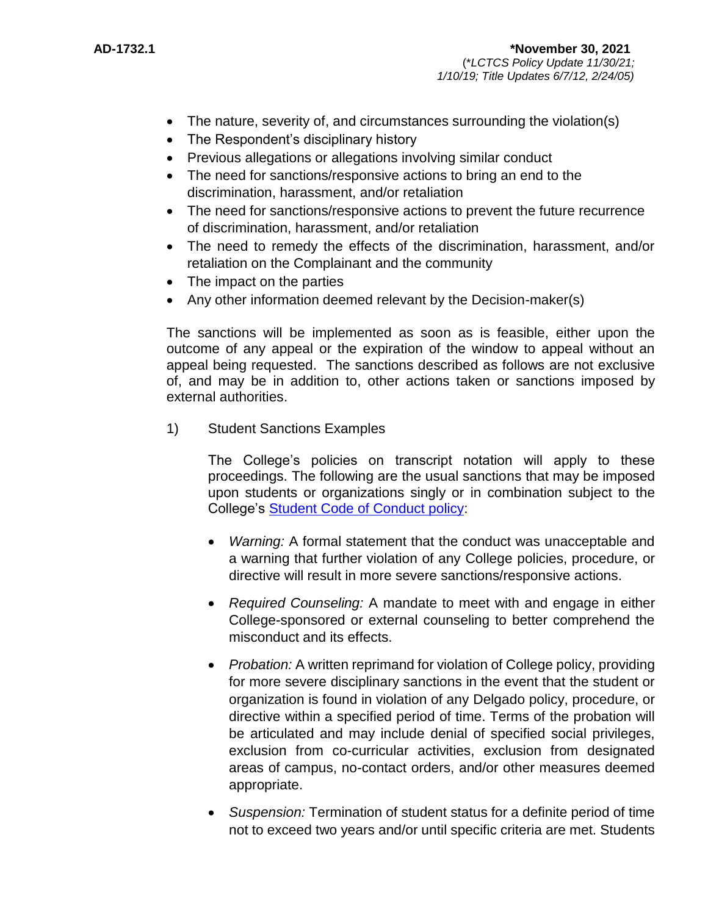- The nature, severity of, and circumstances surrounding the violation(s)
- The Respondent's disciplinary history
- Previous allegations or allegations involving similar conduct
- The need for sanctions/responsive actions to bring an end to the discrimination, harassment, and/or retaliation
- The need for sanctions/responsive actions to prevent the future recurrence of discrimination, harassment, and/or retaliation
- The need to remedy the effects of the discrimination, harassment, and/or retaliation on the Complainant and the community
- The impact on the parties
- Any other information deemed relevant by the Decision-maker(s)

The sanctions will be implemented as soon as is feasible, either upon the outcome of any appeal or the expiration of the window to appeal without an appeal being requested. The sanctions described as follows are not exclusive of, and may be in addition to, other actions taken or sanctions imposed by external authorities.

1)Student Sanctions Examples

The College's policies on transcript notation will apply to these proceedings. The following are the usual sanctions that may be imposed upon students or organizations singly or in combination subject to the College's [Student Code of Conduct policy:](http://docushare3.dcc.edu/docushare/dsweb/Get/Document-80)

- *Warning:* A formal statement that the conduct was unacceptable and a warning that further violation of any College policies, procedure, or directive will result in more severe sanctions/responsive actions.
- *Required Counseling:* A mandate to meet with and engage in either College-sponsored or external counseling to better comprehend the misconduct and its effects.
- *Probation:* A written reprimand for violation of College policy, providing for more severe disciplinary sanctions in the event that the student or organization is found in violation of any Delgado policy, procedure, or directive within a specified period of time. Terms of the probation will be articulated and may include denial of specified social privileges, exclusion from co-curricular activities, exclusion from designated areas of campus, no-contact orders, and/or other measures deemed appropriate.
- *Suspension:* Termination of student status for a definite period of time not to exceed two years and/or until specific criteria are met. Students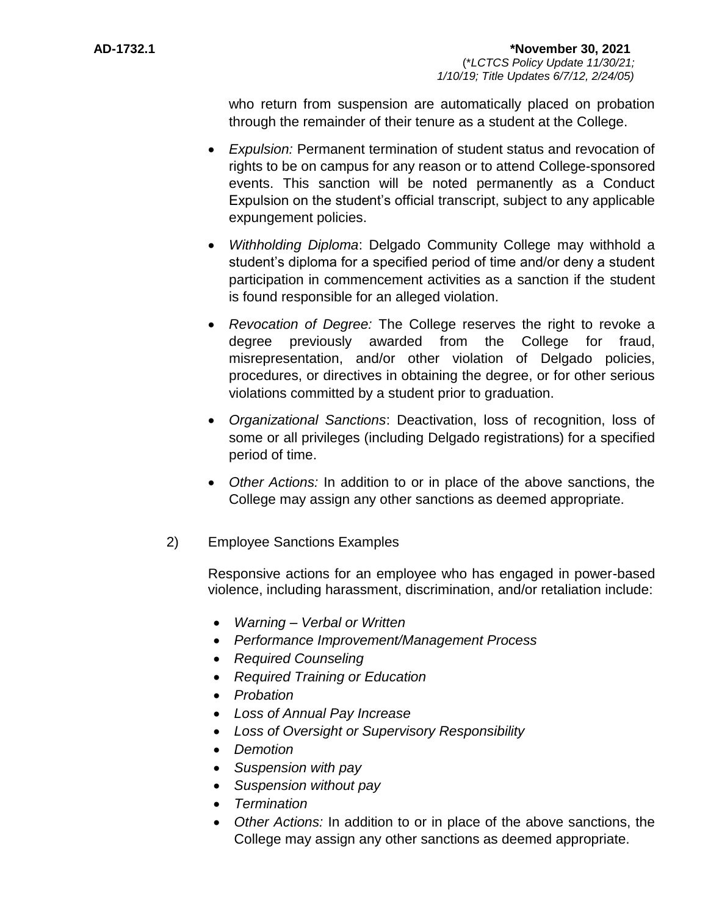who return from suspension are automatically placed on probation through the remainder of their tenure as a student at the College.

- *Expulsion:* Permanent termination of student status and revocation of rights to be on campus for any reason or to attend College-sponsored events. This sanction will be noted permanently as a Conduct Expulsion on the student's official transcript, subject to any applicable expungement policies.
- *Withholding Diploma*: Delgado Community College may withhold a student's diploma for a specified period of time and/or deny a student participation in commencement activities as a sanction if the student is found responsible for an alleged violation.
- *Revocation of Degree:* The College reserves the right to revoke a degree previously awarded from the College for fraud, misrepresentation, and/or other violation of Delgado policies, procedures, or directives in obtaining the degree, or for other serious violations committed by a student prior to graduation.
- *Organizational Sanctions*: Deactivation, loss of recognition, loss of some or all privileges (including Delgado registrations) for a specified period of time.
- *Other Actions:* In addition to or in place of the above sanctions, the College may assign any other sanctions as deemed appropriate.
- 2) Employee Sanctions Examples

Responsive actions for an employee who has engaged in power-based violence, including harassment, discrimination, and/or retaliation include:

- *Warning – Verbal or Written*
- *Performance Improvement/Management Process*
- *Required Counseling*
- *Required Training or Education*
- *Probation*
- *Loss of Annual Pay Increase*
- *Loss of Oversight or Supervisory Responsibility*
- *Demotion*
- *Suspension with pay*
- *Suspension without pay*
- *Termination*
- *Other Actions:* In addition to or in place of the above sanctions, the College may assign any other sanctions as deemed appropriate.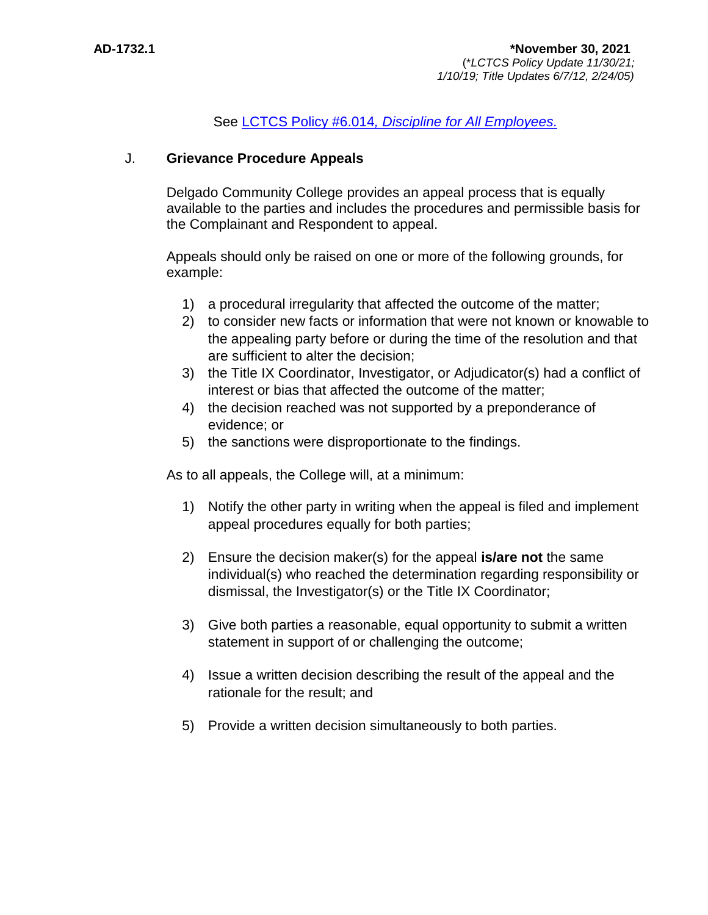## See LCTCS Policy #6.014*[, Discipline for All Employees.](https://campussuite-storage.s3.amazonaws.com/prod/1558543/91b64910-2d2e-11e8-8c09-0a7155647e8a/1778099/005361a0-584f-11e8-89e8-12be56b8d5f6/file/6014_Discipline-For-All-Employees_12202016.pdf)*

#### J. **Grievance Procedure Appeals**

Delgado Community College provides an appeal process that is equally available to the parties and includes the procedures and permissible basis for the Complainant and Respondent to appeal.

Appeals should only be raised on one or more of the following grounds, for example:

- 1) a procedural irregularity that affected the outcome of the matter;
- 2) to consider new facts or information that were not known or knowable to the appealing party before or during the time of the resolution and that are sufficient to alter the decision;
- 3) the Title IX Coordinator, Investigator, or Adjudicator(s) had a conflict of interest or bias that affected the outcome of the matter;
- 4) the decision reached was not supported by a preponderance of evidence; or
- 5) the sanctions were disproportionate to the findings.

As to all appeals, the College will, at a minimum:

- 1) Notify the other party in writing when the appeal is filed and implement appeal procedures equally for both parties;
- 2) Ensure the decision maker(s) for the appeal **is/are not** the same individual(s) who reached the determination regarding responsibility or dismissal, the Investigator(s) or the Title IX Coordinator;
- 3) Give both parties a reasonable, equal opportunity to submit a written statement in support of or challenging the outcome;
- 4) Issue a written decision describing the result of the appeal and the rationale for the result; and
- 5) Provide a written decision simultaneously to both parties.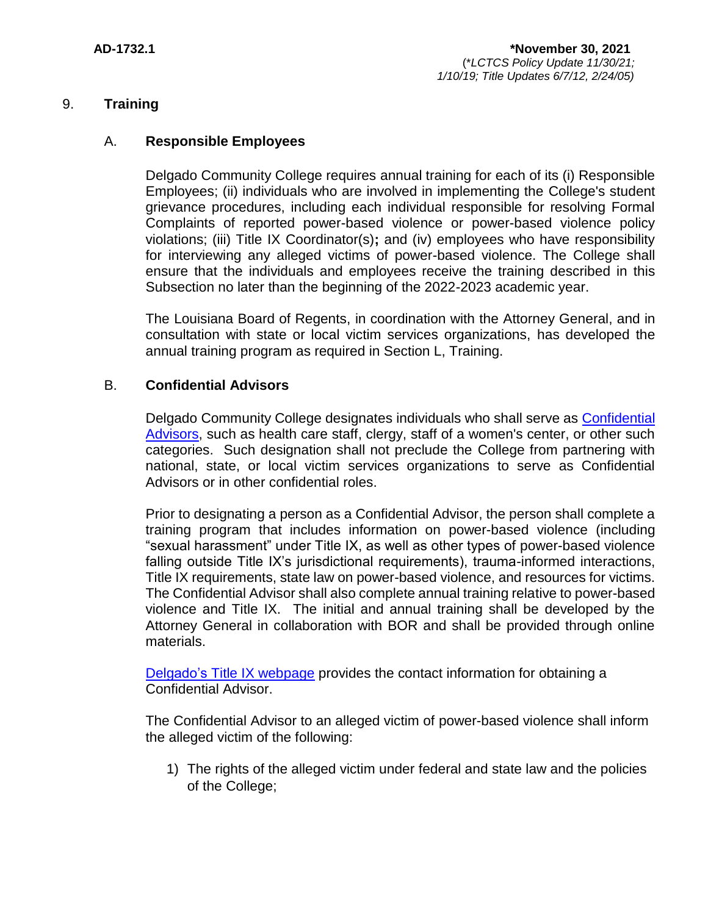#### 9. **Training**

## A. **Responsible Employees**

Delgado Community College requires annual training for each of its (i) Responsible Employees; (ii) individuals who are involved in implementing the College's student grievance procedures, including each individual responsible for resolving Formal Complaints of reported power-based violence or power-based violence policy violations; (iii) Title IX Coordinator(s)**;** and (iv) employees who have responsibility for interviewing any alleged victims of power-based violence. The College shall ensure that the individuals and employees receive the training described in this Subsection no later than the beginning of the 2022-2023 academic year.

The Louisiana Board of Regents, in coordination with the Attorney General, and in consultation with state or local victim services organizations, has developed the annual training program as required in Section L, Training.

## B. **Confidential Advisors**

Delgado Community College designates individuals who shall serve as [Confidential](http://docushare3.dcc.edu/docushare/dsweb/Get/Document-1935)  [Advisors,](http://docushare3.dcc.edu/docushare/dsweb/Get/Document-1935) such as health care staff, clergy, staff of a women's center, or other such categories. Such designation shall not preclude the College from partnering with national, state, or local victim services organizations to serve as Confidential Advisors or in other confidential roles.

Prior to designating a person as a Confidential Advisor, the person shall complete a training program that includes information on power-based violence (including "sexual harassment" under Title IX, as well as other types of power-based violence falling outside Title IX's jurisdictional requirements), trauma-informed interactions, Title IX requirements, state law on power-based violence, and resources for victims. The Confidential Advisor shall also complete annual training relative to power-based violence and Title IX. The initial and annual training shall be developed by the Attorney General in collaboration with BOR and shall be provided through online materials.

[Delgado's Title IX webpage](https://www.dcc.edu/title-ix/default.aspx) provides the contact information for obtaining a Confidential Advisor.

The Confidential Advisor to an alleged victim of power-based violence shall inform the alleged victim of the following:

1) The rights of the alleged victim under federal and state law and the policies of the College;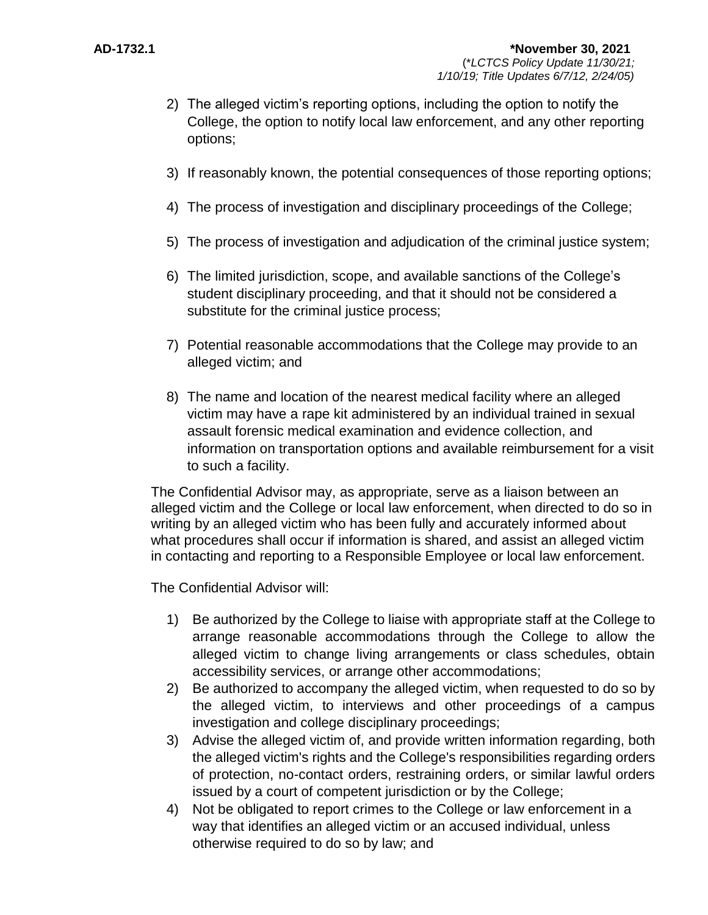- 2) The alleged victim's reporting options, including the option to notify the College, the option to notify local law enforcement, and any other reporting options;
- 3) If reasonably known, the potential consequences of those reporting options;
- 4) The process of investigation and disciplinary proceedings of the College;
- 5) The process of investigation and adjudication of the criminal justice system;
- 6) The limited jurisdiction, scope, and available sanctions of the College's student disciplinary proceeding, and that it should not be considered a substitute for the criminal justice process;
- 7) Potential reasonable accommodations that the College may provide to an alleged victim; and
- 8) The name and location of the nearest medical facility where an alleged victim may have a rape kit administered by an individual trained in sexual assault forensic medical examination and evidence collection, and information on transportation options and available reimbursement for a visit to such a facility.

The Confidential Advisor may, as appropriate, serve as a liaison between an alleged victim and the College or local law enforcement, when directed to do so in writing by an alleged victim who has been fully and accurately informed about what procedures shall occur if information is shared, and assist an alleged victim in contacting and reporting to a Responsible Employee or local law enforcement.

The Confidential Advisor will:

- 1) Be authorized by the College to liaise with appropriate staff at the College to arrange reasonable accommodations through the College to allow the alleged victim to change living arrangements or class schedules, obtain accessibility services, or arrange other accommodations;
- 2) Be authorized to accompany the alleged victim, when requested to do so by the alleged victim, to interviews and other proceedings of a campus investigation and college disciplinary proceedings;
- 3) Advise the alleged victim of, and provide written information regarding, both the alleged victim's rights and the College's responsibilities regarding orders of protection, no-contact orders, restraining orders, or similar lawful orders issued by a court of competent jurisdiction or by the College;
- 4) Not be obligated to report crimes to the College or law enforcement in a way that identifies an alleged victim or an accused individual, unless otherwise required to do so by law; and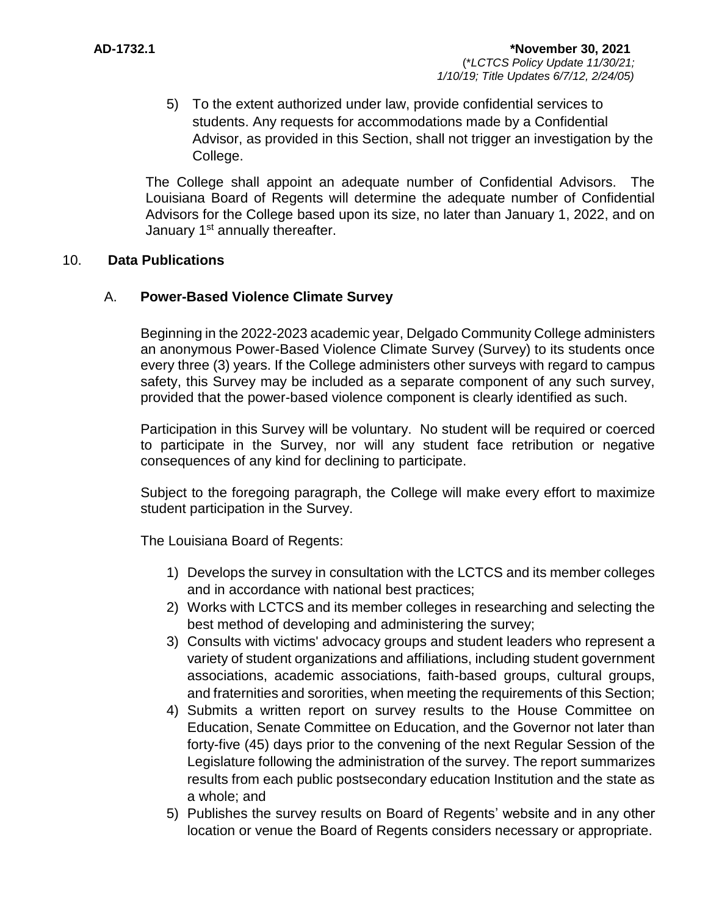5) To the extent authorized under law, provide confidential services to students. Any requests for accommodations made by a Confidential Advisor, as provided in this Section, shall not trigger an investigation by the College.

The College shall appoint an adequate number of Confidential Advisors. The Louisiana Board of Regents will determine the adequate number of Confidential Advisors for the College based upon its size, no later than January 1, 2022, and on January 1<sup>st</sup> annually thereafter.

## 10. **Data Publications**

## A. **Power-Based Violence Climate Survey**

Beginning in the 2022-2023 academic year, Delgado Community College administers an anonymous Power-Based Violence Climate Survey (Survey) to its students once every three (3) years. If the College administers other surveys with regard to campus safety, this Survey may be included as a separate component of any such survey, provided that the power-based violence component is clearly identified as such.

Participation in this Survey will be voluntary. No student will be required or coerced to participate in the Survey, nor will any student face retribution or negative consequences of any kind for declining to participate.

Subject to the foregoing paragraph, the College will make every effort to maximize student participation in the Survey.

The Louisiana Board of Regents:

- 1) Develops the survey in consultation with the LCTCS and its member colleges and in accordance with national best practices;
- 2) Works with LCTCS and its member colleges in researching and selecting the best method of developing and administering the survey;
- 3) Consults with victims' advocacy groups and student leaders who represent a variety of student organizations and affiliations, including student government associations, academic associations, faith-based groups, cultural groups, and fraternities and sororities, when meeting the requirements of this Section;
- 4) Submits a written report on survey results to the House Committee on Education, Senate Committee on Education, and the Governor not later than forty-five (45) days prior to the convening of the next Regular Session of the Legislature following the administration of the survey. The report summarizes results from each public postsecondary education Institution and the state as a whole; and
- 5) Publishes the survey results on Board of Regents' website and in any other location or venue the Board of Regents considers necessary or appropriate.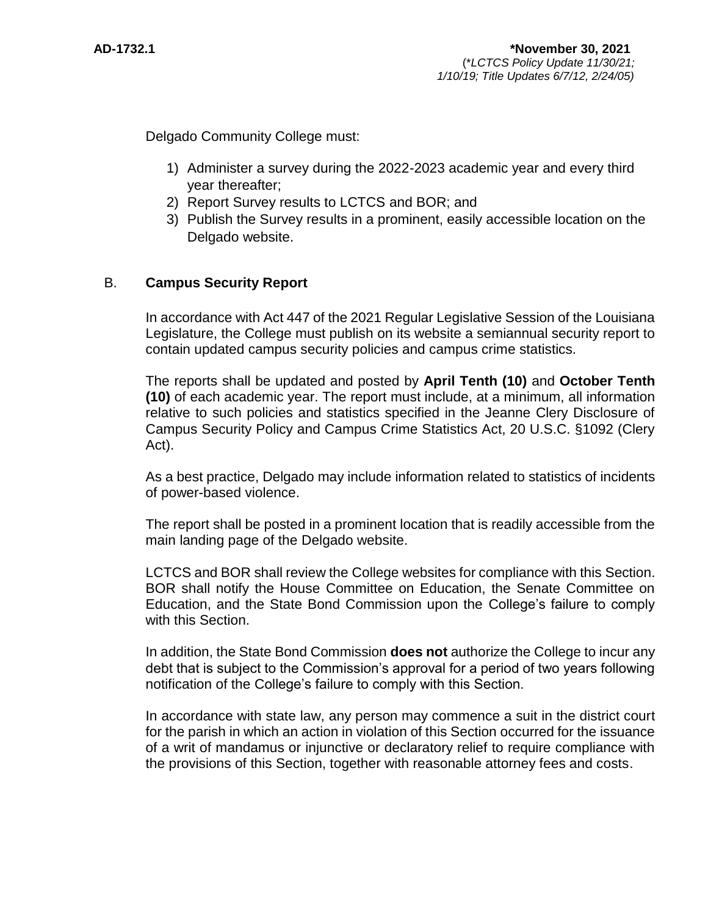Delgado Community College must:

- 1) Administer a survey during the 2022-2023 academic year and every third year thereafter;
- 2) Report Survey results to LCTCS and BOR; and
- 3) Publish the Survey results in a prominent, easily accessible location on the Delgado website.

# B. **Campus Security Report**

In accordance with Act 447 of the 2021 Regular Legislative Session of the Louisiana Legislature, the College must publish on its website a semiannual security report to contain updated campus security policies and campus crime statistics.

The reports shall be updated and posted by **April Tenth (10)** and **October Tenth (10)** of each academic year. The report must include, at a minimum, all information relative to such policies and statistics specified in the Jeanne Clery Disclosure of Campus Security Policy and Campus Crime Statistics Act, 20 U.S.C. §1092 (Clery Act).

As a best practice, Delgado may include information related to statistics of incidents of power-based violence.

The report shall be posted in a prominent location that is readily accessible from the main landing page of the Delgado website.

LCTCS and BOR shall review the College websites for compliance with this Section. BOR shall notify the House Committee on Education, the Senate Committee on Education, and the State Bond Commission upon the College's failure to comply with this Section.

In addition, the State Bond Commission **does not** authorize the College to incur any debt that is subject to the Commission's approval for a period of two years following notification of the College's failure to comply with this Section.

In accordance with state law, any person may commence a suit in the district court for the parish in which an action in violation of this Section occurred for the issuance of a writ of mandamus or injunctive or declaratory relief to require compliance with the provisions of this Section, together with reasonable attorney fees and costs.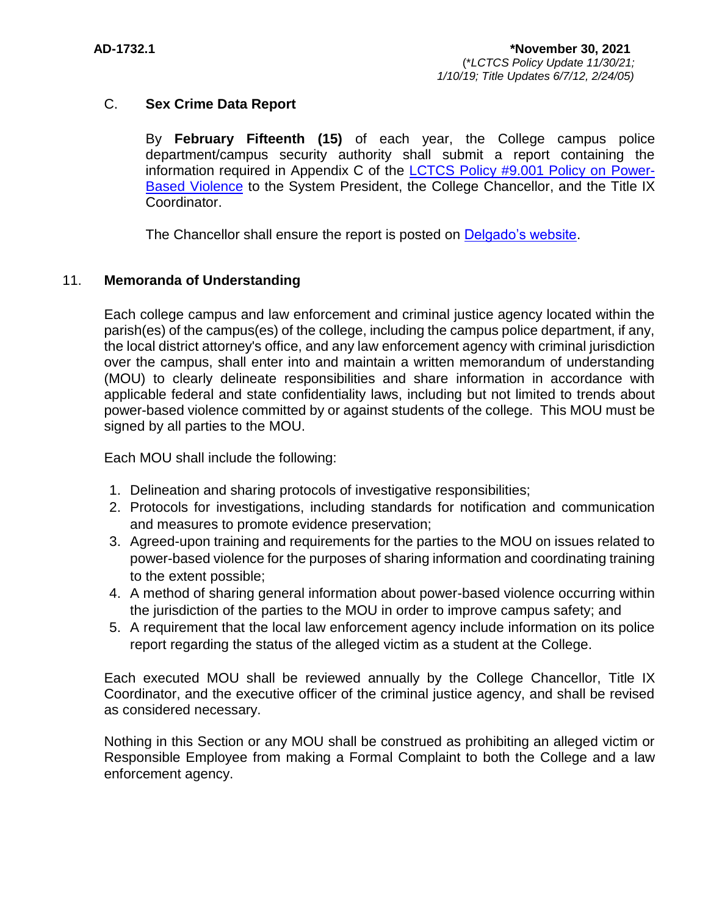## C. **Sex Crime Data Report**

By **February Fifteenth (15)** of each year, the College campus police department/campus security authority shall submit a report containing the information required in Appendix C of the **LCTCS Policy #9.001 Policy on Power-**[Based Violence](https://campussuite-storage.s3.amazonaws.com/prod/1558543/91b64910-2d2e-11e8-8c09-0a7155647e8a/2332545/120ee03a-31cd-11ec-bca0-02b4ec425fd5/file/9.001%20LCTCS%20POLICY%20ON%20POWER-BASED%20VIOLENCE%2010.20.21.pdf) to the System President, the College Chancellor, and the Title IX Coordinator.

The Chancellor shall ensure the report is posted on **Delgado's website**.

## 11. **Memoranda of Understanding**

Each college campus and law enforcement and criminal justice agency located within the parish(es) of the campus(es) of the college, including the campus police department, if any, the local district attorney's office, and any law enforcement agency with criminal jurisdiction over the campus, shall enter into and maintain a written memorandum of understanding (MOU) to clearly delineate responsibilities and share information in accordance with applicable federal and state confidentiality laws, including but not limited to trends about power-based violence committed by or against students of the college. This MOU must be signed by all parties to the MOU.

Each MOU shall include the following:

- 1. Delineation and sharing protocols of investigative responsibilities;
- 2. Protocols for investigations, including standards for notification and communication and measures to promote evidence preservation;
- 3. Agreed-upon training and requirements for the parties to the MOU on issues related to power-based violence for the purposes of sharing information and coordinating training to the extent possible;
- 4. A method of sharing general information about power-based violence occurring within the jurisdiction of the parties to the MOU in order to improve campus safety; and
- 5. A requirement that the local law enforcement agency include information on its police report regarding the status of the alleged victim as a student at the College.

Each executed MOU shall be reviewed annually by the College Chancellor, Title IX Coordinator, and the executive officer of the criminal justice agency, and shall be revised as considered necessary.

Nothing in this Section or any MOU shall be construed as prohibiting an alleged victim or Responsible Employee from making a Formal Complaint to both the College and a law enforcement agency.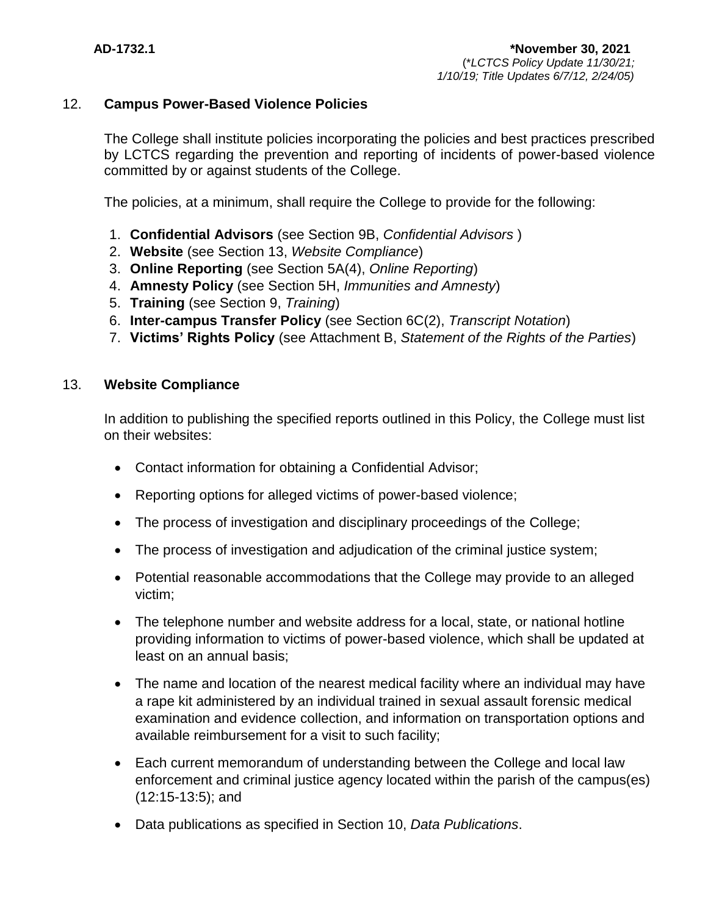## 12. **Campus Power-Based Violence Policies**

The College shall institute policies incorporating the policies and best practices prescribed by LCTCS regarding the prevention and reporting of incidents of power-based violence committed by or against students of the College.

The policies, at a minimum, shall require the College to provide for the following:

- 1. **Confidential Advisors** (see Section 9B, *Confidential Advisors* )
- 2. **Website** (see Section 13, *Website Compliance*)
- 3. **Online Reporting** (see Section 5A(4), *Online Reporting*)
- 4. **Amnesty Policy** (see Section 5H, *Immunities and Amnesty*)
- 5. **Training** (see Section 9, *Training*)
- 6. **Inter-campus Transfer Policy** (see Section 6C(2), *Transcript Notation*)
- 7. **Victims' Rights Policy** (see Attachment B, *Statement of the Rights of the Parties*)

#### 13. **Website Compliance**

In addition to publishing the specified reports outlined in this Policy, the College must list on their websites:

- Contact information for obtaining a Confidential Advisor;
- Reporting options for alleged victims of power-based violence;
- The process of investigation and disciplinary proceedings of the College;
- The process of investigation and adjudication of the criminal justice system;
- Potential reasonable accommodations that the College may provide to an alleged victim;
- The telephone number and website address for a local, state, or national hotline providing information to victims of power-based violence, which shall be updated at least on an annual basis;
- The name and location of the nearest medical facility where an individual may have a rape kit administered by an individual trained in sexual assault forensic medical examination and evidence collection, and information on transportation options and available reimbursement for a visit to such facility;
- Each current memorandum of understanding between the College and local law enforcement and criminal justice agency located within the parish of the campus(es) (12:15-13:5); and
- Data publications as specified in Section 10, *Data Publications*.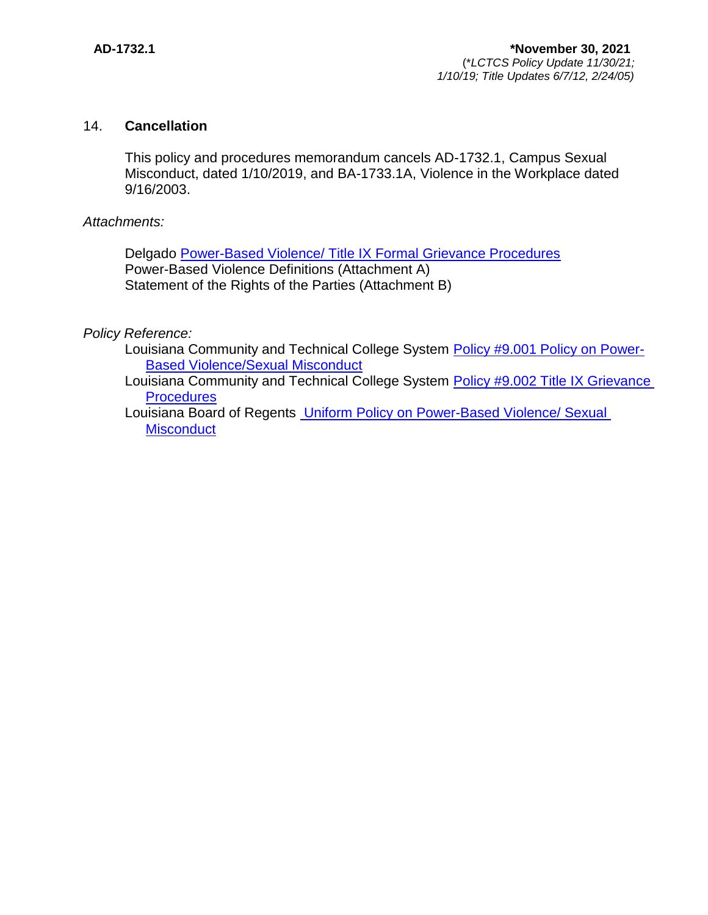#### 14. **Cancellation**

This policy and procedures memorandum cancels AD-1732.1, Campus Sexual Misconduct, dated 1/10/2019, and BA-1733.1A, Violence in the Workplace dated 9/16/2003.

#### *Attachments:*

Delgado [Power-Based Violence/ Title IX Formal Grievance Procedures](http://docushare3.dcc.edu/docushare/dsweb/Get/Document-7990) Power-Based Violence Definitions (Attachment A) Statement of the Rights of the Parties (Attachment B)

## *Policy Reference:*

- Louisiana Community and Technical College System [Policy #9.001 Policy on Power-](https://campussuite-storage.s3.amazonaws.com/prod/1558543/91b64910-2d2e-11e8-8c09-0a7155647e8a/2332545/120ee03a-31cd-11ec-bca0-02b4ec425fd5/file/9.001%20LCTCS%20POLICY%20ON%20POWER-BASED%20VIOLENCE%2010.20.21.pdf)[Based Violence/Sexual Misconduct](https://campussuite-storage.s3.amazonaws.com/prod/1558543/91b64910-2d2e-11e8-8c09-0a7155647e8a/2332545/120ee03a-31cd-11ec-bca0-02b4ec425fd5/file/9.001%20LCTCS%20POLICY%20ON%20POWER-BASED%20VIOLENCE%2010.20.21.pdf)
- Louisiana Community and Technical College System [Policy #9.002 Title IX Grievance](https://campussuite-storage.s3.amazonaws.com/prod/1558543/91b64910-2d2e-11e8-8c09-0a7155647e8a/2332546/120ee65c-31cd-11ec-9fc1-02b4ec425fd5/file/9.002%20LCTCS%20TITLE%20IX%20GRIEVANCE%20PROCEDURES%2010.20.21.pdf)  **[Procedures](https://campussuite-storage.s3.amazonaws.com/prod/1558543/91b64910-2d2e-11e8-8c09-0a7155647e8a/2332546/120ee65c-31cd-11ec-9fc1-02b4ec425fd5/file/9.002%20LCTCS%20TITLE%20IX%20GRIEVANCE%20PROCEDURES%2010.20.21.pdf)**

Louisiana Board of Regents [Uniform Policy on Power-Based Violence/ Sexual](https://regents.la.gov/divisions/legal-affairs/uniformpbvpolicy/)  **[Misconduct](https://regents.la.gov/divisions/legal-affairs/uniformpbvpolicy/)**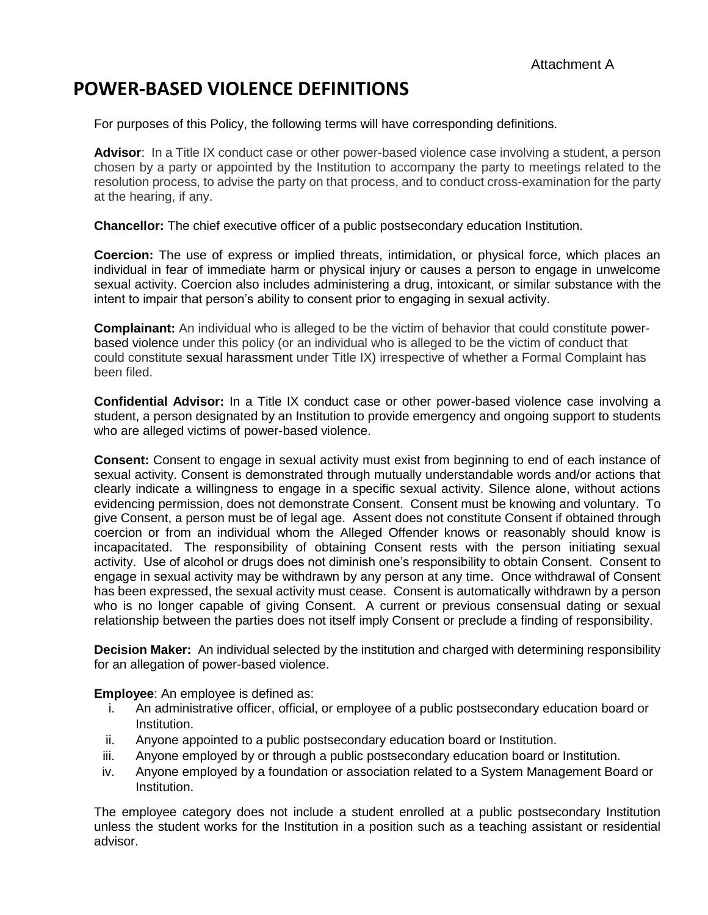# **POWER-BASED VIOLENCE DEFINITIONS**

For purposes of this Policy, the following terms will have corresponding definitions.

**Advisor**: In a Title IX conduct case or other power-based violence case involving a student, a person chosen by a party or appointed by the Institution to accompany the party to meetings related to the resolution process, to advise the party on that process, and to conduct cross-examination for the party at the hearing, if any.

**Chancellor:** The chief executive officer of a public postsecondary education Institution.

**Coercion:** The use of express or implied threats, intimidation, or physical force, which places an individual in fear of immediate harm or physical injury or causes a person to engage in unwelcome sexual activity. Coercion also includes administering a drug, intoxicant, or similar substance with the intent to impair that person's ability to consent prior to engaging in sexual activity.

**Complainant:** An individual who is alleged to be the victim of behavior that could constitute powerbased violence under this policy (or an individual who is alleged to be the victim of conduct that could constitute sexual harassment under Title IX) irrespective of whether a Formal Complaint has been filed.

**Confidential Advisor:** In a Title IX conduct case or other power-based violence case involving a student, a person designated by an Institution to provide emergency and ongoing support to students who are alleged victims of power-based violence.

**Consent:** Consent to engage in sexual activity must exist from beginning to end of each instance of sexual activity. Consent is demonstrated through mutually understandable words and/or actions that clearly indicate a willingness to engage in a specific sexual activity. Silence alone, without actions evidencing permission, does not demonstrate Consent. Consent must be knowing and voluntary. To give Consent, a person must be of legal age. Assent does not constitute Consent if obtained through coercion or from an individual whom the Alleged Offender knows or reasonably should know is incapacitated. The responsibility of obtaining Consent rests with the person initiating sexual activity. Use of alcohol or drugs does not diminish one's responsibility to obtain Consent. Consent to engage in sexual activity may be withdrawn by any person at any time. Once withdrawal of Consent has been expressed, the sexual activity must cease. Consent is automatically withdrawn by a person who is no longer capable of giving Consent. A current or previous consensual dating or sexual relationship between the parties does not itself imply Consent or preclude a finding of responsibility.

**Decision Maker:** An individual selected by the institution and charged with determining responsibility for an allegation of power-based violence.

**Employee**: An employee is defined as:

- i. An administrative officer, official, or employee of a public postsecondary education board or Institution.
- ii. Anyone appointed to a public postsecondary education board or Institution.
- iii. Anyone employed by or through a public postsecondary education board or Institution.
- iv. Anyone employed by a foundation or association related to a System Management Board or Institution.

The employee category does not include a student enrolled at a public postsecondary Institution unless the student works for the Institution in a position such as a teaching assistant or residential advisor.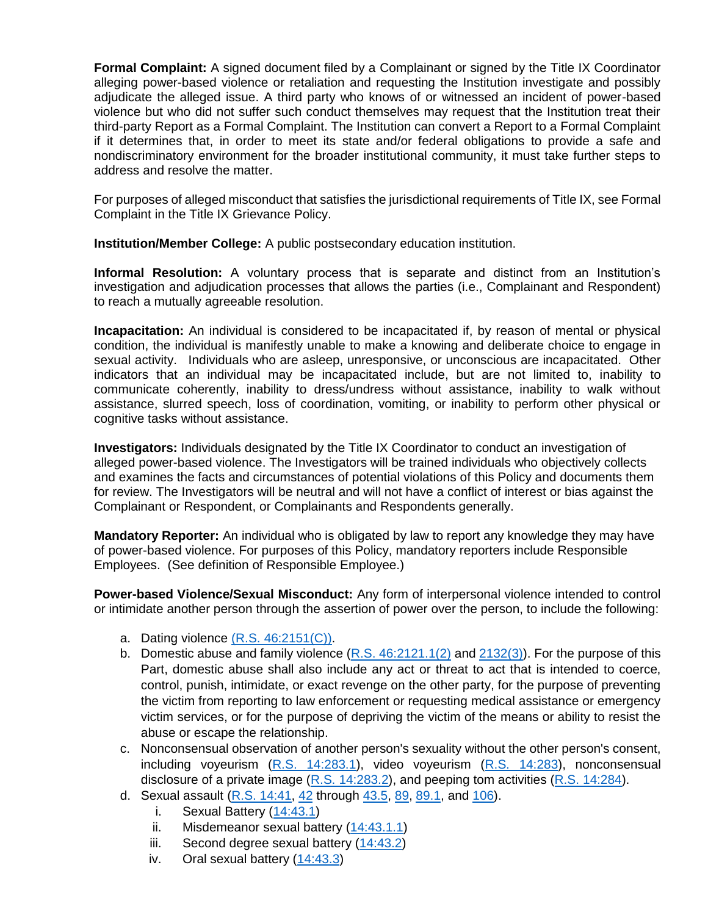**Formal Complaint:** A signed document filed by a Complainant or signed by the Title IX Coordinator alleging power-based violence or retaliation and requesting the Institution investigate and possibly adjudicate the alleged issue. A third party who knows of or witnessed an incident of power-based violence but who did not suffer such conduct themselves may request that the Institution treat their third-party Report as a Formal Complaint. The Institution can convert a Report to a Formal Complaint if it determines that, in order to meet its state and/or federal obligations to provide a safe and nondiscriminatory environment for the broader institutional community, it must take further steps to address and resolve the matter.

For purposes of alleged misconduct that satisfies the jurisdictional requirements of Title IX, see Formal Complaint in the Title IX Grievance Policy.

**Institution/Member College:** A public postsecondary education institution.

**Informal Resolution:** A voluntary process that is separate and distinct from an Institution's investigation and adjudication processes that allows the parties (i.e., Complainant and Respondent) to reach a mutually agreeable resolution.

**Incapacitation:** An individual is considered to be incapacitated if, by reason of mental or physical condition, the individual is manifestly unable to make a knowing and deliberate choice to engage in sexual activity. Individuals who are asleep, unresponsive, or unconscious are incapacitated. Other indicators that an individual may be incapacitated include, but are not limited to, inability to communicate coherently, inability to dress/undress without assistance, inability to walk without assistance, slurred speech, loss of coordination, vomiting, or inability to perform other physical or cognitive tasks without assistance.

**Investigators:** Individuals designated by the Title IX Coordinator to conduct an investigation of alleged power-based violence. The Investigators will be trained individuals who objectively collects and examines the facts and circumstances of potential violations of this Policy and documents them for review. The Investigators will be neutral and will not have a conflict of interest or bias against the Complainant or Respondent, or Complainants and Respondents generally.

**Mandatory Reporter:** An individual who is obligated by law to report any knowledge they may have of power-based violence. For purposes of this Policy, mandatory reporters include Responsible Employees. (See definition of Responsible Employee.)

**Power-based Violence/Sexual Misconduct:** Any form of interpersonal violence intended to control or intimidate another person through the assertion of power over the person, to include the following:

- a. Dating violence [\(R.S. 46:2151\(C\)\).](http://legis.la.gov/legis/Law.aspx?d=100568)
- b. Domestic abuse and family violence  $(R.S. 46:2121.1(2)$  and  $2132(3)$ ). For the purpose of this Part, domestic abuse shall also include any act or threat to act that is intended to coerce, control, punish, intimidate, or exact revenge on the other party, for the purpose of preventing the victim from reporting to law enforcement or requesting medical assistance or emergency victim services, or for the purpose of depriving the victim of the means or ability to resist the abuse or escape the relationship.
- c. Nonconsensual observation of another person's sexuality without the other person's consent, including voyeurism [\(R.S. 14:283.1\)](http://xhttp/legis.la.gov/Legis/Law.aspx?d=78391), video voyeurism [\(R.S. 14:283\)](http://legis.la.gov/Legis/Law.aspx?d=78391), nonconsensual disclosure of a private image  $(R.S. 14:283.2)$  $(R.S. 14:283.2)$ , and peeping tom activities  $(R.S. 14:284)$ .
- d. Sexual assault [\(R.S. 14:41,](http://legis.la.gov/Legis/Law.aspx?d=78528) [42](http://legis.la.gov/Legis/Law.aspx?d=78529) through [43.5,](http://legis.la.gov/Legis/Law.aspx?d=78536) [89, 89.1,](http://legis.la.gov/Legis/Law.aspx?d=78695) and [106\)](http://legis.la.gov/Legis/Law.aspx?d=78258).
	- i. Sexual Battery  $(14:43.1)$
	- ii. Misdemeanor sexual battery [\(14:43.1.1\)](http://legis.la.gov/Legis/Law.aspx?d=963337)
	- iii. Second degree sexual battery [\(14:43.2\)](http://legis.la.gov/Legis/Law.aspx?d=78533)
	- iv. Oral sexual battery [\(14:43.3\)](http://legis.la.gov/Legis/Law.aspx?d=78534)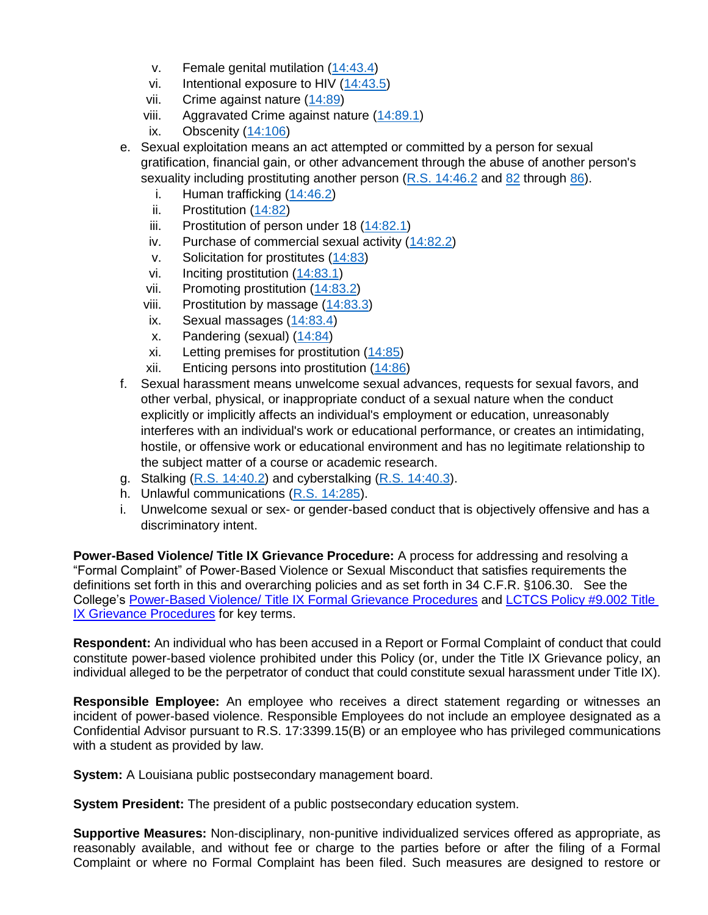- v. Female genital mutilation [\(14:43.4\)](http://legis.la.gov/Legis/Law.aspx?d=78535)
- vi. Intentional exposure to HIV [\(14:43.5\)](http://legis.la.gov/Legis/Law.aspx?d=78536)
- vii. Crime against nature [\(14:89\)](http://legis.la.gov/Legis/Law.aspx?d=78695)
- viii. Aggravated Crime against nature [\(14:89.1\)](http://legis.la.gov/Legis/Law.aspx?d=78696)
- ix. Obscenity [\(14:106\)](http://legis.la.gov/Legis/Law.aspx?d=78258)
- e. Sexual exploitation means an act attempted or committed by a person for sexual gratification, financial gain, or other advancement through the abuse of another person's sexuality including prostituting another person [\(R.S. 14:46.2](http://legis.la.gov/Legis/Law.aspx?d=320889) and [82](http://legis.la.gov/Legis/Law.aspx?d=78677) through [86\)](http://legis.la.gov/Legis/Law.aspx?d=78687).
	- i. Human trafficking [\(14:46.2\)](http://legis.la.gov/Legis/Law.aspx?d=320889)
	- ii. Prostitution [\(14:82\)](http://legis.la.gov/Legis/Law.aspx?d=78677)
	- iii. Prostitution of person under 18 [\(14:82.1\)](http://legis.la.gov/Legis/Law.aspx?d=78678)
	- iv. Purchase of commercial sexual activity [\(14:82.2\)](http://legis.la.gov/Legis/Law.aspx?d=919550)
	- v. Solicitation for prostitutes [\(14:83\)](http://legis.la.gov/Legis/Law.aspx?d=78679)
	- vi. Inciting prostitution [\(14:83.1\)](http://legis.la.gov/Legis/Law.aspx?d=78680)
	- vii. Promoting prostitution [\(14:83.2\)](http://legis.la.gov/Legis/Law.aspx?d=78681)
	- viii. Prostitution by massage [\(14:83.3\)](http://legis.la.gov/Legis/Law.aspx?d=78682)
	- ix. Sexual massages [\(14:83.4\)](http://legis.la.gov/Legis/Law.aspx?d=78683)
	- x. Pandering (sexual)  $(14:84)$
	- xi. Letting premises for prostitution [\(14:85\)](http://legis.la.gov/Legis/Law.aspx?d=78685)
	- xii. Enticing persons into prostitution [\(14:86\)](http://legis.la.gov/Legis/Law.aspx?d=78687)
- f. Sexual harassment means unwelcome sexual advances, requests for sexual favors, and other verbal, physical, or inappropriate conduct of a sexual nature when the conduct explicitly or implicitly affects an individual's employment or education, unreasonably interferes with an individual's work or educational performance, or creates an intimidating, hostile, or offensive work or educational environment and has no legitimate relationship to the subject matter of a course or academic research.
- g. Stalking  $(R.S. 14:40.2)$  and cyberstalking  $(R.S. 14:40.3)$ .
- h. Unlawful communications [\(R.S. 14:285\)](http://legis.la.gov/Legis/Law.aspx?d=78393).
- i. Unwelcome sexual or sex- or gender-based conduct that is objectively offensive and has a discriminatory intent.

**Power-Based Violence/ Title IX Grievance Procedure:** A process for addressing and resolving a "Formal Complaint" of Power-Based Violence or Sexual Misconduct that satisfies requirements the definitions set forth in this and overarching policies and as set forth in 34 C.F.R. §106.30. See the College's [Power-Based Violence/ Title IX Formal Grievance Procedures](http://docushare3.dcc.edu/docushare/dsweb/Get/Document-7990) and [LCTCS Policy #9.002 Title](https://campussuite-storage.s3.amazonaws.com/prod/1558543/91b64910-2d2e-11e8-8c09-0a7155647e8a/2332546/120ee65c-31cd-11ec-9fc1-02b4ec425fd5/file/9.002%20LCTCS%20TITLE%20IX%20GRIEVANCE%20PROCEDURES%2010.20.21.pdf)  [IX Grievance Procedures](https://campussuite-storage.s3.amazonaws.com/prod/1558543/91b64910-2d2e-11e8-8c09-0a7155647e8a/2332546/120ee65c-31cd-11ec-9fc1-02b4ec425fd5/file/9.002%20LCTCS%20TITLE%20IX%20GRIEVANCE%20PROCEDURES%2010.20.21.pdf) for key terms.

**Respondent:** An individual who has been accused in a Report or Formal Complaint of conduct that could constitute power-based violence prohibited under this Policy (or, under the Title IX Grievance policy, an individual alleged to be the perpetrator of conduct that could constitute sexual harassment under Title IX).

**Responsible Employee:** An employee who receives a direct statement regarding or witnesses an incident of power-based violence. Responsible Employees do not include an employee designated as a Confidential Advisor pursuant to R.S. 17:3399.15(B) or an employee who has privileged communications with a student as provided by law.

**System:** A Louisiana public postsecondary management board.

**System President:** The president of a public postsecondary education system.

**Supportive Measures:** Non-disciplinary, non-punitive individualized services offered as appropriate, as reasonably available, and without fee or charge to the parties before or after the filing of a Formal Complaint or where no Formal Complaint has been filed. Such measures are designed to restore or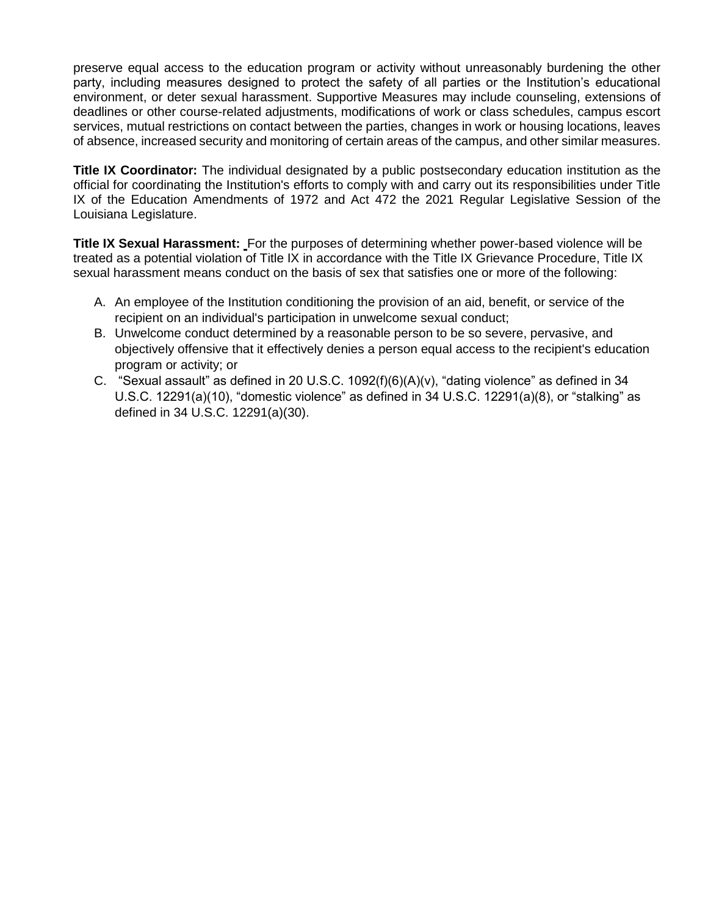preserve equal access to the education program or activity without unreasonably burdening the other party, including measures designed to protect the safety of all parties or the Institution's educational environment, or deter sexual harassment. Supportive Measures may include counseling, extensions of deadlines or other course-related adjustments, modifications of work or class schedules, campus escort services, mutual restrictions on contact between the parties, changes in work or housing locations, leaves of absence, increased security and monitoring of certain areas of the campus, and other similar measures.

**Title IX Coordinator:** The individual designated by a public postsecondary education institution as the official for coordinating the Institution's efforts to comply with and carry out its responsibilities under Title IX of the Education Amendments of 1972 and Act 472 the 2021 Regular Legislative Session of the Louisiana Legislature.

**Title IX Sexual Harassment:** For the purposes of determining whether power-based violence will be treated as a potential violation of Title IX in accordance with the Title IX Grievance Procedure, Title IX sexual harassment means conduct on the basis of sex that satisfies one or more of the following:

- A. An employee of the Institution conditioning the provision of an aid, benefit, or service of the recipient on an individual's participation in unwelcome sexual conduct;
- B. Unwelcome conduct determined by a reasonable person to be so severe, pervasive, and objectively offensive that it effectively denies a person equal access to the recipient's education program or activity; or
- C. "Sexual assault" as defined in 20 U.S.C. 1092(f)(6)(A)(v), "dating violence" as defined in 34 U.S.C. 12291(a)(10), "domestic violence" as defined in 34 U.S.C. 12291(a)(8), or "stalking" as defined in 34 U.S.C. 12291(a)(30).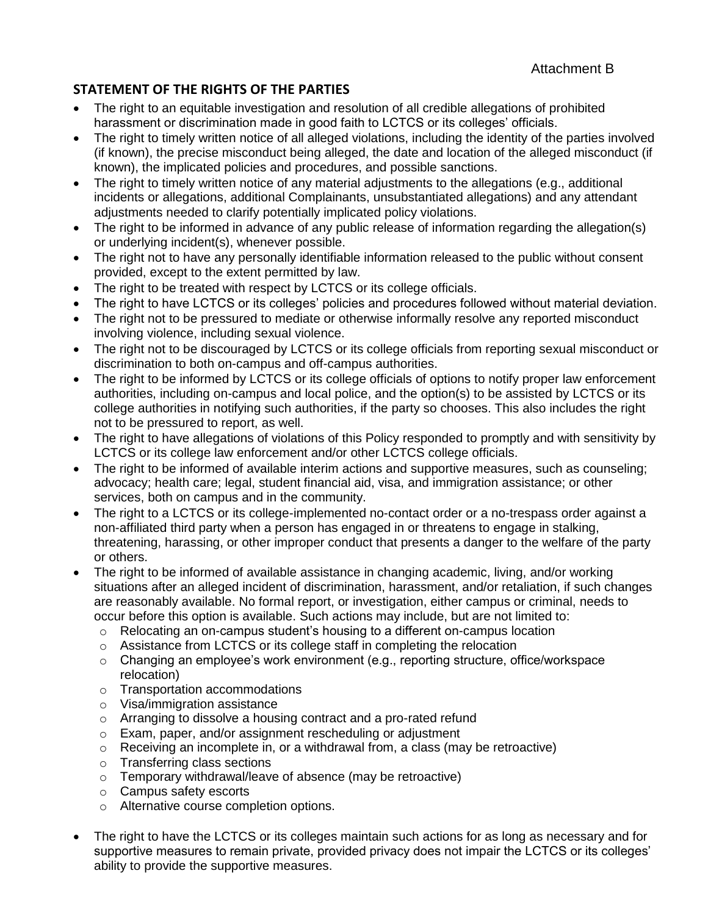## Attachment B

# **STATEMENT OF THE RIGHTS OF THE PARTIES**

- The right to an equitable investigation and resolution of all credible allegations of prohibited harassment or discrimination made in good faith to LCTCS or its colleges' officials.
- The right to timely written notice of all alleged violations, including the identity of the parties involved (if known), the precise misconduct being alleged, the date and location of the alleged misconduct (if known), the implicated policies and procedures, and possible sanctions.
- The right to timely written notice of any material adjustments to the allegations (e.g., additional incidents or allegations, additional Complainants, unsubstantiated allegations) and any attendant adjustments needed to clarify potentially implicated policy violations.
- The right to be informed in advance of any public release of information regarding the allegation(s) or underlying incident(s), whenever possible.
- The right not to have any personally identifiable information released to the public without consent provided, except to the extent permitted by law.
- The right to be treated with respect by LCTCS or its college officials.
- The right to have LCTCS or its colleges' policies and procedures followed without material deviation.
- The right not to be pressured to mediate or otherwise informally resolve any reported misconduct involving violence, including sexual violence.
- The right not to be discouraged by LCTCS or its college officials from reporting sexual misconduct or discrimination to both on-campus and off-campus authorities.
- The right to be informed by LCTCS or its college officials of options to notify proper law enforcement authorities, including on-campus and local police, and the option(s) to be assisted by LCTCS or its college authorities in notifying such authorities, if the party so chooses. This also includes the right not to be pressured to report, as well.
- The right to have allegations of violations of this Policy responded to promptly and with sensitivity by LCTCS or its college law enforcement and/or other LCTCS college officials.
- The right to be informed of available interim actions and supportive measures, such as counseling; advocacy; health care; legal, student financial aid, visa, and immigration assistance; or other services, both on campus and in the community.
- The right to a LCTCS or its college-implemented no-contact order or a no-trespass order against a non-affiliated third party when a person has engaged in or threatens to engage in stalking, threatening, harassing, or other improper conduct that presents a danger to the welfare of the party or others.
- The right to be informed of available assistance in changing academic, living, and/or working situations after an alleged incident of discrimination, harassment, and/or retaliation, if such changes are reasonably available. No formal report, or investigation, either campus or criminal, needs to occur before this option is available. Such actions may include, but are not limited to:
	- $\circ$  Relocating an on-campus student's housing to a different on-campus location
	- o Assistance from LCTCS or its college staff in completing the relocation
	- $\circ$  Changing an employee's work environment (e.g., reporting structure, office/workspace relocation)
	- o Transportation accommodations
	- o Visa/immigration assistance
	- o Arranging to dissolve a housing contract and a pro-rated refund
	- o Exam, paper, and/or assignment rescheduling or adjustment
	- $\circ$  Receiving an incomplete in, or a withdrawal from, a class (may be retroactive)
	- o Transferring class sections
	- o Temporary withdrawal/leave of absence (may be retroactive)
	- o Campus safety escorts
	- o Alternative course completion options.
- The right to have the LCTCS or its colleges maintain such actions for as long as necessary and for supportive measures to remain private, provided privacy does not impair the LCTCS or its colleges' ability to provide the supportive measures.